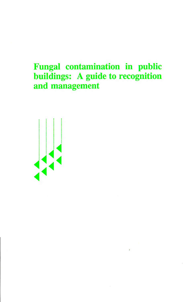# **Fungal contamination in public** buildings: A guide to recognition and management

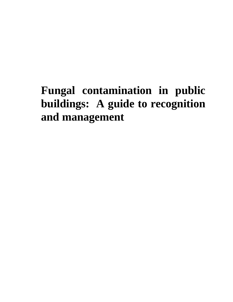# **Fungal contamination in public buildings: A guide to recognition and management**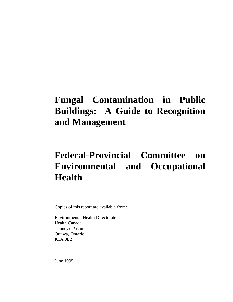# **Fungal Contamination in Public Buildings: A Guide to Recognition and Management**

# **Federal-Provincial Committee on Environmental and Occupational Health**

Copies of this report are available from:

Environmental Health Directorate Health Canada Tunney's Pasture Ottawa, Ontario K1A 0L2

June 1995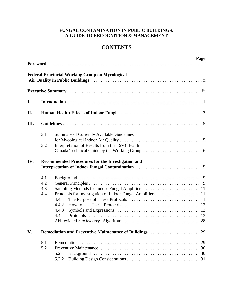## **FUNGAL CONTAMINATION IN PUBLIC BUILDINGS: A GUIDE TO RECOGNITION & MANAGEMENT**

# **CONTENTS**

|     |            | Page                                                    |                |  |
|-----|------------|---------------------------------------------------------|----------------|--|
|     |            | <b>Federal-Provincial Working Group on Mycological</b>  |                |  |
|     |            |                                                         |                |  |
|     |            |                                                         |                |  |
| I.  |            |                                                         |                |  |
| П.  |            |                                                         |                |  |
| Ш.  |            |                                                         |                |  |
|     | 3.1        | Summary of Currently Available Guidelines               |                |  |
|     | 3.2        | Interpretation of Results from the 1993 Health          |                |  |
| IV. |            | Recommended Procedures for the Investigation and        |                |  |
|     |            |                                                         |                |  |
|     | 4.1<br>4.2 |                                                         |                |  |
|     | 4.3<br>4.4 | Protocols for Investigation of Indoor Fungal Amplifiers | 11             |  |
|     |            | 4.4.1<br>4.4.2                                          | 11<br>12       |  |
|     |            | 4.4.3<br>4.4.4                                          | 13<br>13<br>28 |  |
| V.  |            | Remediation and Preventive Maintenance of Buildings     | 29             |  |
|     |            |                                                         |                |  |
|     | 5.1<br>5.2 |                                                         | 29<br>30       |  |
|     |            | 5.2.1<br>5.2.2                                          | 30<br>31       |  |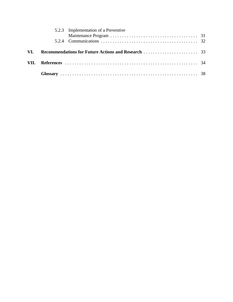|     | 5.2.3 Implementation of a Preventive |  |
|-----|--------------------------------------|--|
|     |                                      |  |
|     |                                      |  |
| VI. |                                      |  |
|     |                                      |  |
|     |                                      |  |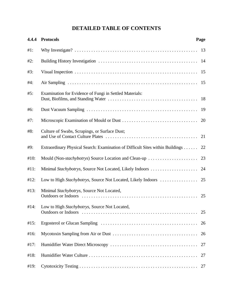# **DETAILED TABLE OF CONTENTS**

| 4.4.4 | <b>Protocols</b>                                                               | Page |
|-------|--------------------------------------------------------------------------------|------|
| #1:   |                                                                                | 13   |
| #2:   |                                                                                | 14   |
| #3:   |                                                                                | 15   |
| #4:   |                                                                                | 15   |
| #5:   | Examination for Evidence of Fungi in Settled Materials:                        |      |
| #6:   |                                                                                | 19   |
| #7:   |                                                                                | 20   |
| #8:   | Culture of Swabs, Scrapings, or Surface Dust;                                  |      |
| #9:   | Extraordinary Physical Search: Examination of Difficult Sites within Buildings | 22   |
| #10:  | Mould (Non-stachybotrys) Source Location and Clean-up                          | 23   |
| #11:  | Minimal Stachybotrys, Source Not Located, Likely Indoors                       | 24   |
| #12:  | Low to High Stachybotrys, Source Not Located, Likely Indoors                   | 25   |
| #13:  | Minimal Stachybotrys, Source Not Located,                                      | 25   |
|       | #14: Low to High Stachybotrys, Source Not Located,                             | 25   |
| #15:  |                                                                                | 26   |
| #16:  |                                                                                | 26   |
| #17:  |                                                                                | 27   |
| #18:  |                                                                                | 27   |
| #19:  |                                                                                | 27   |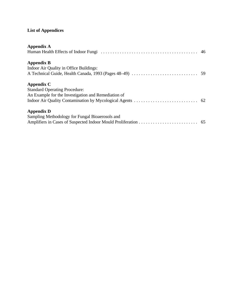# **List of Appendices**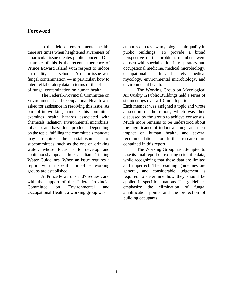## **Foreword**

there are times when heightened awareness of public buildings. To provide a broad a particular issue creates public concern. One perspective of the problem, members were example of this is the recent experience of chosen with specialization in respiratory and Prince Edward Island with respect to indoor occupational medicine, medical microbiology, air quality in its schools. A major issue was occupational health and safety, medical fungal contamination — in particular, how to mycology, environmental microbiology, and interpret laboratory data in terms of the effects environmental health. of fungal contamination on human health. The Working Group on Mycological

Environmental and Occupational Health was six meetings over a 10-month period. asked for assistance in resolving this issue. As Each member was assigned a topic and wrote part of its working mandate, this committee a section of the report, which was then examines health hazards associated with discussed by the group to achieve consensus. chemicals, radiation, environmental microbials, Much more remains to be understood about tobacco, and hazardous products. Depending the significance of indoor air fungi and their on the topic, fulfilling the committee's mandate impact on human health, and several may require the establishment of recommendations for further research are subcommittees, such as the one on drinking contained in this report. water, whose focus is to develop and The Working Group has attempted to continuously update the Canadian Drinking base its final report on existing scientific data, Water Guidelines. When an issue requires a while recognizing that these data are limited report with a specific time-line, working and imperfect. The resulting guidelines are groups are established. general, and considerable judgement is

with the support of the Federal-Provincial applied in specific situations. The guidelines Committee on Environmental and emphasize the elimination of fungal Occupational Health, a working group was amplification points and the protection of

In the field of environmental health, authorized to review mycological air quality in

The Federal-Provincial Committee on Air Quality in Public Buildings held a series of

At Prince Edward Island's request, and required to determine how they should be building occupants.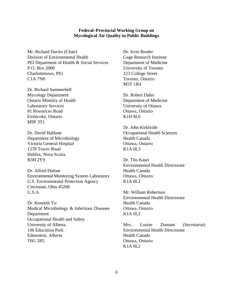### **Federal–Provincial Working Group on Mycological Air Quality in Public Buildings**

Mr. Richard Davies (Chair) Dr. Irvin Broder Division of Environmental Health Gage Research Institute PEI Department of Health & Social Services Department of Medicine P.O. Box 2000 University of Toronto Charlottetown, PEI 223 College Street C1A 7N8 Toronto, Ontario

Dr. Richard Summerbell Mycology Department Dr. Robert Dales Ontario Ministry of Health Department of Medicine Laboratory Services University of Ottawa 81 Resources Road Ottawa, Ontario Etobicoke, Ontario K1H 8L6 M9P 3T1

Department of Microbiology Health Canada Victoria General Hospital **Ottawa**, Ontario 1278 Tower Road K1A 0L3 Halifax, Nova Scotia B3H 2Y9 Dr. Tiiu Kauri

Dr. Alfred Dufour Health Canada Environmental Monitoring System Laboratory Ottawa, Ontario U.S. Environmental Protection Agency K1A 0L2 Cincinnati, Ohio 45268 U.S.A. Mr. William Robertson

Dr. Kenneth Yu Health Canada Medical Microbiology & Infectious Diseases Ottawa, Ontario Department K1A 0L2 Occupational Health and Safety University of Alberta Mrs. Louise Damant (Secretariat) 106 Education Park Environmental Health Directorate Edmonton, Alberta Health Canada T6G 2R5 Ottawa, Ontario

M5T 1R4

Dr. David Haldane Occupational Health Sciences Dr. John Kirkbride

Environmental Health Directorate

Environmental Health Directorate

K1A 0L2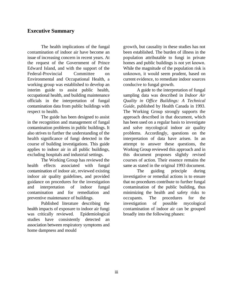# **Executive Summary**

contamination of indoor air have become an been established. The burden of illness in the issue of increasing concern in recent years. At population attributable to fungi in private the request of the Government of Prince homes and public buildings is not yet known. Edward Island, and with the support of the While the magnitude of the population risk is Federal-Provincial Committee on unknown, it would seem prudent, based on Environmental and Occupational Health, a current evidence, to remediate indoor sources working group was established to develop an conducive to fungal growth. interim guide to assist public health, A guide to the interpretation of fungal occupational health, and building maintenance sampling data was described in *Indoor Air* officials in the interpretation of fungal *Quality in Office Buildings: A Technical* contamination data from public buildings with *Guide*, published by Health Canada in 1993. respect to health. The Working Group strongly supports the

in the recognition and management of fungal has been used on a regular basis to investigate contamination problems in public buildings. It and solve mycological indoor air quality also strives to further the understanding of the problems. Accordingly, questions on the health significance of fungi detected in the interpretation of data have arisen. In an course of building investigations. This guide attempt to answer these questions, the applies to indoor air in all public buildings, Working Group reviewed this approach and in excluding hospitals and industrial settings. This document proposes slightly revised

health effects associated with fungal same as stated in the original 1993 document. contamination of indoor air, reviewed existing The guiding principle during indoor air quality guidelines, and provided investigative or remedial actions is to ensure guidance on procedures for the investigation that no procedures contribute to further fungal and interpretation of indoor fungal contamination of the public building, thus contamination and for remediation and minimizing the health and safety risks to preventive maintenance of buildings.  $\qquad \qquad$  occupants. The procedures for the

health impacts of exposure to indoor air fungi contamination of indoor air can be grouped was critically reviewed. Epidemiological broadly into the following phases: studies have consistently detected an association between respiratory symptoms and home dampness and mould

The health implications of the fungal growth, but causality in these studies has not

The guide has been designed to assist approach described in that document, which The Working Group has reviewed the courses of action. Their essence remains the

Published literature describing the investigation of possible mycological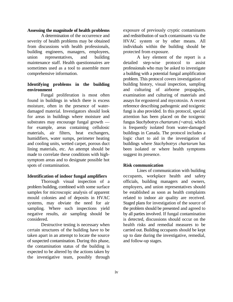#### **Assessing the magnitude of health problems**

severity of health problems may be obtained HVAC system or by other means. All from discussions with health professionals, individuals within the building should be building engineers, managers, employees, protected from exposure. union representatives, and building A key element of the report is a maintenance staff. Health questionnaires are detailed step-wise protocol to assist comprehensive information. a building with a potential fungal amplification

### **Identifying problems in the building environment**

found in buildings in which there is excess assays for ergosterol and mycotoxin. A recent moisture, often in the presence of water- reference describing pathogenic and toxigenic damaged material. Investigators should look fungi is also provided. In this protocol, special for areas in buildings where moisture and attention has been placed on the toxigenic substrates may encourage fungal growth — fungus *Stachybotrys chartarum (=atra)*, which for example, areas containing cellulosic is frequently isolated from water-damaged materials, air filters, heat exchangers, buildings in Canada. The protocol includes a humidifiers, water sumps, perimeter heating logic chart to aid in the investigation of and cooling units, wetted carpet, porous duct buildings where *Stachybotrys chartarum* has lining materials, etc. An attempt should be been isolated or where health symptoms made to correlate these conditions with high-suggest its presence. symptom areas and to designate possible hot spots of contamination.

#### **Identification of indoor fungal amplifiers**

problem building, combined with some surface employers, and union representatives should samples for microscopic analysis of apparent be established as soon as health complaints mould colonies and of deposits in HVAC related to indoor air quality are received. systems, may obviate the need for air Staged plans for investigation of the source of sampling. Where such inspections yield the problem should be presented and agreed to negative results, air sampling should be by all parties involved. If fungal contamination considered. is detected, discussions should occur on the

certain structures of the building have to be carried out. Building occupants should be kept taken apart in an attempt to locate the source up to date during the investigative, remedial, of suspected contamination. During this phase, and follow-up stages. the contamination status of the building is expected to be altered by the actions taken by the investigative team, possibly through

A determination of the occurrence and and redistribution of such contaminants via the exposure of previously cryptic contaminants

sometimes used as a tool to assemble more professionals who may be asked to investigate Fungal proliferation is most often examination and culturing of materials and problem. This protocol covers investigation of building history, visual inspection, sampling and culturing of airborne propagules,

#### **Risk communication**

Thorough visual inspection of a officials, building managers and owners, Destructive testing is necessary when health risks and remedial measures to be Lines of communication with building occupants, workplace health and safety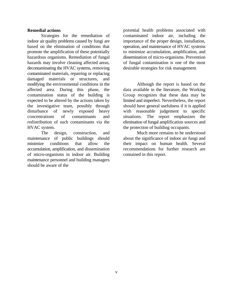### **Remedial actions**

indoor air quality problems caused by fungi are importance of the proper design, installation, based on the elimination of conditions that operation, and maintenance of HVAC systems promote the amplification of these potentially to minimize accumulation, amplification, and hazardous organisms. Remediation of fungal dissemination of micro-organisms. Prevention hazardous organisms. Remediation of fungal hazards may involve cleaning affected areas, of fungal contamination is one of the most decontaminating the HVAC systems, removing desirable strategies for risk management. contaminated materials, repairing or replacing damaged materials or structures, and modifying the environmental conditions in the Although the report is based on the affected area. During this phase, the data available in the literature, the Working contamination status of the building is Group recognizes that these data may be expected to be altered by the actions taken by limited and imperfect. Nevertheless, the report the investigative team, possibly through should have general usefulness if it is applied disturbance of newly exposed heavy with reasonable judgement to specific concentrations of contaminants and situations. The report emphasizes the redistribution of such contaminants via the elimination of fungal amplification sources and HVAC system. the protection of building occupants.

maintenance of public buildings should about the significance of indoor air fungi and minimize conditions that allow the their impact on human health. Several accumulation, amplification, and dissemination recommendations for further research are of micro-organisms in indoor air. Building contained in this report. maintenance personnel and building managers should be aware of the

Strategies for the remediation of contaminated indoor air, including the potential health problems associated with

The design, construction, and Much more remains to be understood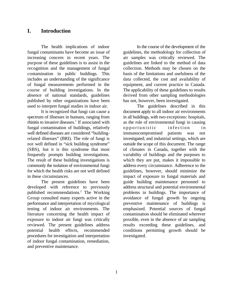## **I. Introduction**

fungal contaminants have become an issue of guidelines, the methodology for collection of increasing concern in recent years. The air samples was critically reviewed. The increasing concern in recent years. The purpose of these guidelines is to assist in the guidelines are linked to the method of data recognition and the management of fungal collection. Methods may be chosen on the contamination in public buildings. This basis of the limitations and usefulness of the includes an understanding of the significance data collected, the cost and availability of of fungal measurements performed in the equipment, and current practice in Canada. course of building investigations. In the The applicability of these guidelines to results absence of national standards, guidelines derived from other sampling methodologies published by other organizations have been has not, however, been investigated. used to interpret fungal studies in indoor air. The guidelines described in this

spectrum of illnesses in humans, ranging from in all buildings, with two exceptions: hospitals, rhinitis to invasive diseases.<sup>1</sup> If associated with fungal contamination of buildings, relatively opportunistic infection in well defined diseases are considered "building- immunocompromised patients was not related illnesses" (BRI). The role of fungi is investigated; and industrial settings, which are not well defined in "sick building syndrome" outside the scope of this document. The range (SBS), but it is this syndrome that most of climates in Canada, together with the frequently prompts building investigations. variability of buildings and the purposes to The result of these building investigations is which they are put, makes it impossible to commonly the isolation of environmental fungi address every circumstance. Adherence to the for which the health risks are not well defined guidelines, however, should minimize the in these circumstances. impact of exposure to fungal materials and

developed with reference to previously address structural and potential environmental published recommendations.<sup>2</sup> The Working problems in buildings. The importance of Group consulted many experts active in the avoidance of fungal growth by ongoing performance and interpretation of mycological preventive maintenance of buildings is testing of indoor air environments. The emphasized. Potential sources of fungal literature concerning the health impact of contamination should be eliminated wherever exposure to indoor air fungi was critically possible, even in the absence of air sampling reviewed. The present guidelines address results exceeding these guidelines, and potential health effects, recommended conditions permitting growth should be procedures for investigation and interpretation investigated. of indoor fungal contamination, remediation, and preventive maintenance.

The health implications of indoor In the course of the development of the

It is recognized that fungi can cause a document apply to all indoor air environments as the role of environmental fungi in causing. The present guidelines have been guide building maintenance personnel to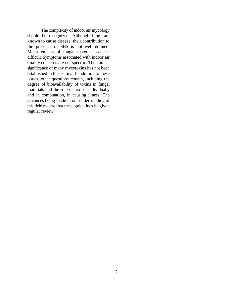The complexity of indoor air mycology should be recognized. Although fungi are known to cause disease, their contribution to the presence of SBS is not well defined. Measurements of fungal materials can be difficult. Symptoms associated with indoor air quality concerns are not specific. The clinical significance of many mycotoxins has not been established in this setting. In addition to these issues, other questions remain, including the degree of bioavailability of toxins in fungal materials and the role of toxins, individually and in combination, in causing illness. The advances being made in our understanding of this field require that these guidelines be given regular review.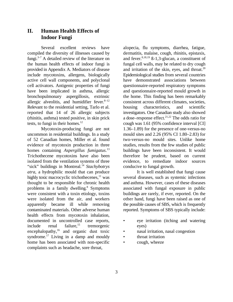# **II. Human Health Effects of Indoor Fungi**

compiled the diversity of illnesses caused by dermatitis, malaise, cough, rhinitis, epistaxis, fungi.<sup>3-7</sup> A detailed review of the literature on and fever.<sup>8,18,19</sup>  $\beta$ -1,3-glucan, a constituent of the human health effects of indoor fungi is fungal cell walls, may be related to dry cough provided in Appendix A. Mediators of disease include mycotoxins, allergens, biologically Epidemiological studies from several countries active cell wall components, and polyclonal have demonstrated associations between cell activators. Antigenic properties of fungi questionnaire-reported respiratory symptoms have been implicated in asthma, allergic and questionnaire-reported mould growth in bronchopulmonary aspergillosis, extrinsic the home. This finding has been remarkably allergic alveolitis, and humidifier fever. $8-12$  consistent across different climates, societies, Relevant to the residential setting, Tarlo et al. housing characteristics, and scientific reported that 14 of 26 allergic subjects investigators. One Canadian study also showed (rhinitis, asthma) tested positive, in skin prick  $\qquad a$  dose–response effect.<sup>21,22</sup> The odds ratio for tests, to fungi in their homes. $^{12}$  cough was 1.61 (95% confidence interval [CI]

uncommon in residential buildings. In a study mould sites and 2.26 (95% CI 1.80–2.83) for of 52 Canadian homes, Miller et al. found two-versus-no mould sites. Unlike home evidence of mycotoxin production in three studies, results from the few studies of public homes containing *Aspergillus fumigatus*.<sup>13</sup> buildings have been inconsistent. It would Trichothecene mycotoxins have also been therefore be prudent, based on current isolated from the ventilation systems of three evidence, to remediate indoor sources "sick" buildings in Montreal.<sup>14</sup> Stachybotrys conducive to fungal growth. *atra*, a hydrophilic mould that can produce It is well established that fungi cause highly toxic macrocyclic trichothecenes, $<sup>11</sup>$  was several diseases, such as systemic infections</sup> thought to be responsible for chronic health and asthma. However, cases of these diseases problems in a family dwelling.<sup>8</sup> Symptoms associated with fungal exposure in public were consistent with a toxin etiology, toxins buildings are rarely, if ever, reported. On the were isolated from the air, and workers other hand, fungi have been raised as one of apparently became ill while removing the possible causes of SBS, which is frequently contaminated materials. Other adverse human reported. Symptoms of SBS typically include: health effects from mycotoxin inhalation, documented in uncontrolled case reports,  $\bullet$  eye irritation (itching and watering include renal failure,  $t^5$  tremorgenic eyes) encephalopathy,  $\frac{16}{16}$  and organic dust toxic • nasal irritation, nasal congestion syndrome.<sup> $17$ </sup> Living in a damp and mouldy  $\bullet$  throat irritation home has been associated with non-specific • cough, wheeze complaints such as headache, sore throat,

Several excellent reviews have alopecia, flu symptoms, diarrhea, fatigue, Mycotoxin-producing fungi are not 1.36–1.89) for the presence of one-versus-no and fever.<sup>8,18,19</sup>  $\beta$ -1,3-glucan, a constituent of and irritation of the skin, eyes, and throat. $20$ 

- 
- 
- 
-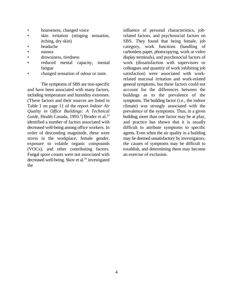- 
- 
- 
- 
- 
- 
- 

and have been associated with many factors, account for the differences between the including temperature and humidity extremes. buildings as to the prevalence of the (These factors and their sources are listed in symptoms. The building factor (i.e., the indoor Table 1 on page 11 of the report *Indoor Air* climate) was strongly associated with the *Quality in Office Buildings: A Technical* prevalence of the symptoms. Thus, in a given *Guide*, Health Canada, 1993.<sup>2</sup>) Broder et al.<sup>23</sup> building, more than one factor may be at play, identified a number of factors associated with and practice has shown that it is usually decreased well-being among office workers. In difficult to attribute symptoms to specific order of descending magnitude, these were agents. Even when the air quality in a building stress in the workplace, female gender, may be deemed unsatisfactory by investigators, exposure to volatile organic compounds the causes of symptoms may be difficult to (VOCs), and other contributing factors. establish, and determining them may become Fungal spore counts were not associated with an exercise of exclusion. decreased well-being. Skov et al. $^{24}$  investigated the

hoarseness, changed voice influence of personal characteristics, job-• skin irritation (stinging sensation, related factors, and psychosocial factors on itching, dry skin) SBS. They found that being female, job • headache category, work functions (handling of • nausea carbonless paper, photocopying, work at video • drowsiness, tiredness display terminals), and psychosocial factors of • reduced mental capacity, mental work (dissatisfaction with supervisors or fatigue colleagues and quantity of work inhibiting job changed sensation of odour or taste. satisfaction) were associated with work-The symptoms of SBS are non-specific general symptoms, but these factors could not related mucosal irritation and work-related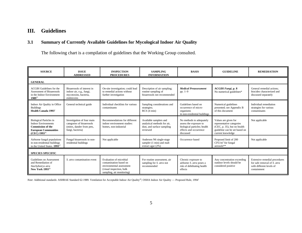# **III. Guidelines**

## **3.1 Summary of Currently Available Guidelines for Mycological Indoor Air Quality**

The following chart is a compilation of guidelines that the Working Group consulted.

| <b>SOURCE</b>                                                                                                                                | <b>ISSUE</b><br><b>ADDRESSED</b>                                                                         | <b>INSPECTION</b><br><b>PROCEDURES</b>                                                                                                 | <b>SAMPLING</b><br><b>INFORMATION</b>                                                           | <b>BASIS</b>                                                                                                              | <b>GUIDELINE</b>                                                                                                                          | <b>REMEDIATION</b>                                                                                      |
|----------------------------------------------------------------------------------------------------------------------------------------------|----------------------------------------------------------------------------------------------------------|----------------------------------------------------------------------------------------------------------------------------------------|-------------------------------------------------------------------------------------------------|---------------------------------------------------------------------------------------------------------------------------|-------------------------------------------------------------------------------------------------------------------------------------------|---------------------------------------------------------------------------------------------------------|
| <b>GENERAL</b>                                                                                                                               |                                                                                                          |                                                                                                                                        |                                                                                                 |                                                                                                                           |                                                                                                                                           |                                                                                                         |
| <b>ACGIH Guidelines for the</b><br>Assessment of Bioaerosols<br>in the Indoor Environment<br>1989 <sup>25</sup>                              | Bioaerosols of interest in<br>indoor air, e.g., fungi,<br>mycotoxins, bacteria,<br>endotoxins            | On-site investigation; could lead<br>to remedial actions without<br>further investigation                                              | Description of air sampling;<br>routine sampling of<br>bioaerosols not recommended              | <b>Medical Preassessment</b><br>pp. $1-9$                                                                                 | <b>ACGIH</b> Fungi, p. 8<br>No numerical guidelines*                                                                                      | General remedial actions;<br>biocides characterized and<br>discussed separately                         |
| Indoor Air Quality in Office<br><b>Buildings</b><br>Health Canada 1993 <sup>2</sup>                                                          | General technical guide                                                                                  | Individual checklists for various<br>contaminants                                                                                      | Sampling considerations and<br>strategies;<br>RCS(4 min)                                        | Guidelines based on<br>occurrence of micro-<br>organisms<br>in non-residential buildings                                  | Numerical guidelines<br>presented; see Appendix B<br>of this document                                                                     | Individual remediation<br>strategies for various<br>contaminants                                        |
| <b>Biological Particles in</b><br><b>Indoor Environments</b><br><b>Commission of the</b><br><b>European Communities</b><br>(CEC) $1993^{26}$ | Investigation of four main<br>categories of bioaerosols<br>(mites, dander from pets,<br>fungi, bacteria) | Recommendations for different<br>indoor environment studies:<br>homes, non-industrial                                                  | Available samplers and<br>analytical methods for air,<br>dust, and surface sampling<br>reviewed | No methods to adequately<br>assess the exposure to<br>biological particles; health<br>effects and occurrence<br>discussed | Values are given for<br>representative categories<br>$(CEC, p. 35)$ , but no health<br>guideline can be set based on<br>current knowledge | Not applicable                                                                                          |
| Airborne fungal populations<br>in non-residential buildings<br>in the United States. 1993 <sup>27</sup>                                      | Fungal bioaerosols in non-<br>residential buildings                                                      | Not applicable                                                                                                                         | Andersen N6 single-stage<br>sampler (1 min) and malt<br>extract agar $(2%)$                     | Occurrence based                                                                                                          | Proposed limit of 200<br>$CFU/m3$ for fungal<br>aerosols**                                                                                | Not applicable                                                                                          |
| <b>SPECIES SPECIFIC</b>                                                                                                                      |                                                                                                          |                                                                                                                                        |                                                                                                 |                                                                                                                           |                                                                                                                                           |                                                                                                         |
| Guidelines on Assessment<br>and Remediation of<br>Stachybotrys atra<br><b>New York 1993</b> <sup>28</sup>                                    | S. atra contamination event                                                                              | Evaluation of microbial<br>contamination based on<br>environmental assessment<br>(visual inspection, bulk<br>sampling, air monitoring) | For routine assessment, air<br>sampling for S. atra not<br>recommended                          | Chronic exposure to<br>airborne S. atra poses a<br>risk of debilitating health<br>effects                                 | Any concentration exceeding<br>outdoor levels should be<br>considered positive                                                            | Extensive remedial procedures<br>for safe removal of S. atra<br>with different levels of<br>containment |

*Note*: Additional standards: ASHRAE Standard 62-1989. Ventilation for Acceptable Indoor Air Quality<sup>29</sup>; OSHA Indoor Air Quality — Proposed Rule, 1994<sup>1</sup>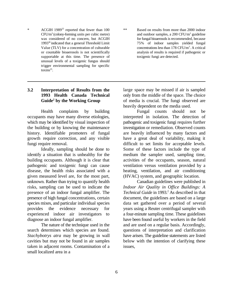\* ACGIH 1989<sup>25</sup> reported that fewer than 100  $*$  Based on results from more than 2000 indoor supportable at this time. The presence of toxigenic fungi are detected. unusual levels of a toxigenic fungus should trigger environmental sampling for specific  $\text{to }$  xins<sup>25</sup>.

## **3.2 Interpretation of Results from the 1993 Health Canada Technical** Guide<sup>2</sup> by the Working Group

occupants may have many diverse etiologies, interpreted in isolation. The detection of which may be identified by visual inspection of pathogenic and toxigenic fungi requires further the building or by knowing the maintenance investigation or remediation. Observed counts history. Identifiable promoters of fungal are heavily influenced by many factors and growth require correction, and any visible have a great deal of variability, making it fungi require removal.  $\qquad \qquad$  difficult to set limits for acceptable levels.

identify a situation that is unhealthy for the medium the sampler used, sampling time, building occupants. Although it is clear that activities of the occupants, season, natural pathogenic and toxigenic fungi can cause ventilation versus ventilation provided by a disease, the health risks associated with a heating, ventilation, and air conditioning given measured level are, for the most part, (HVAC) system, and geographic location. unknown. Rather than trying to quantify health Canadian guidelines were published in risks, sampling can be used to indicate the *Indoor Air Quality in Office Buildings: A* presence of an indoor fungal amplifier. The presence of high fungal concentrations, certain document, the guidelines are based on a large species mixes, and particular individual species data set gathered over a period of several provides the evidence necessary for years using a Reuter centrifugal sampler with experienced indoor air investigators to a four-minute sampling time. These guidelines diagnose an indoor fungal amplifier. have been found useful by workers in the field

search determines which species are found. questions of interpretation and clarification *Stachybotrys atra* may be growing in wall have arisen. The guideline statements are listed cavities but may not be found in air samples below with the intention of clarifying these taken in adjacent rooms. Contamination of a issues, small localized area in a

 $CFU/m<sup>3</sup>$  (colony-forming units per cubic metre) and outdoor samples, a 200 CFU/m<sup>3</sup> guideline was considered of no concern, but ACGIH for fungal bioaerosols is recommended, because 1993<sup>30</sup> indicated that a general Threshold Limit 75% of indoor samples yielded fungal Value (TLV) for a concentration of culturable concentrations less than  $178 \text{ CFU/m}^3$ . A critical or countable bioaerosols is not scientifically analysis of results is required if pathogenic or

> large space may be missed if air is sampled only from the middle of the space. The choice of media is crucial. The fungi observed are heavily dependent on the media used.

Health complaints by building Fungal counts should not be Ideally, sampling should be done to Some of these factors include the type of

The nature of the technique used in the and are used on a regular basis. Accordingly, Technical Guide in 1993.<sup>2</sup> As described in that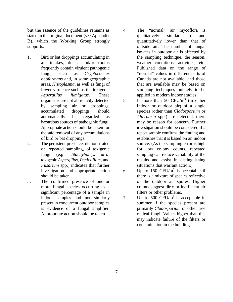but the essence of the guidelines remains as  $\overline{a}$ . The "normal" air mycoflora is stated in the original document (see Appendix qualitatively similar to and B), which the Working Group strongly quantitatively lower than that of supports.  $\blacksquare$ 

- organisms are not all reliably detected 5.
- 2. The persistent presence, demonstrated source. (As the sampling error is high *Fusarium* spp.) indicates that further situations that warrant action.)  $investigation$  and appropriate action  $6.$
- 3. The confirmed presence of one or of the outdoor air spores. Higher significant percentage of a sample in filters or other problems.
- 1. Bird or bat droppings accumulating in the sampling technique, the season, air intakes, ducts, and/or rooms weather conditions, activities, etc. frequently contain virulent pathogenic Published data on the range of fungi, such as *Cryptococcus* "normal" values in different parts of *neoformans* and, in some geographic Canada are not available, and those areas, *Histoplasma*, as well as fungi of that are available may be based on lower virulence such as the toxigenic sampling techniques unlikely to be *Aspergillus fumigatus*. These applied in modern indoor studies. isolates in outdoor air is affected by
	- by sampling air or droppings; indoor or outdoor air) of a single accumulated droppings should species (other than *Cladosporium* or automatically be regarded as *Alternaria* spp.) are detected, there hazardous sources of pathogenic fungi. may be reason for concern. Further Appropriate action should be taken for investigation should be considered if a the safe removal of any accumulations repeat sample confirms the finding and of bird or bat droppings. establishes that it is based on an indoor on repeated sampling, of toxigenic for low colony counts, repeated fungi (e.g., *Stachybotrys atra*, sampling can reduce variability of the toxigenic *Aspergillus*, *Penicillium*, and results and assist in distinguishing If more than 50  $CFU/m^3$  (in either
	- should be taken. more fungal species occurring as a counts suggest dirty or inefficient air Up to 150  $CFU/m^3$  is acceptable if
	- indoor samples and not similarly  $\qquad 7.$  Up to 500 CFU/m<sup>3</sup> is acceptable in present in concurrent outdoor samples summer if the species present are is evidence of a fungal amplifier. primarily *Cladosporium* or other tree Appropriate action should be taken. or leaf fungi. Values higher than this may indicate failure of the filters or contamination in the building.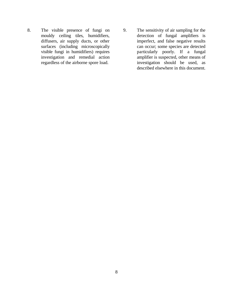- 8. The visible presence of fungi on 9. The sensitivity of air sampling for the mouldy ceiling tiles, humidifiers, surfaces (including microscopically visible fungi in humidifiers) requires
	- mouldy ceiling tiles, humidifiers, detection of fungal amplifiers is diffusers, air supply ducts, or other imperfect, and false negative results diffusers, air supply ducts, or other imperfect, and false negative results surfaces (including microscopically can occur; some species are detected visible fungi in humidifiers) requires particularly poorly. If a fungal investigation and remedial action applifier is suspected, other means of investigation and remedial action amplifier is suspected, other means of regardless of the airborne spore load. Investigation should be used, as investigation should be used, as described elsewhere in this document.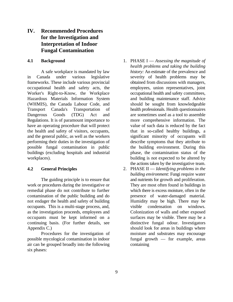# **IV. Recommended Procedures for the Investigation and Interpretation of Indoor Fungal Contamination**

### **4.1 Background**

in Canada under various legislative severity of health problems may be frameworks. These include various provincial obtained from discussions with managers, occupational health and safety acts, the employees, union representatives, joint Worker's Right-to-Know, the Workplace occupational health and safety committees, Hazardous Materials Information System and building maintenance staff. Advice (WHMIS), the Canada Labour Code, and should be sought from knowledgeable Transport Canada's Transportation of health professionals. Health questionnaires Dangerous Goods (TDG) Act and are sometimes used as a tool to assemble Regulations. It is of paramount importance to more comprehensive information. The have an operating procedure that will protect value of such data is reduced by the fact the health and safety of visitors, occupants, that in so-called healthy buildings, a and the general public, as well as the workers significant minority of occupants will performing their duties in the investigation of describe symptoms that they attribute to possible fungal contamination in public the building environment. During this buildings (excluding hospitals and industrial phase, the contamination status of the workplaces). building is not expected to be altered by

### **4.2 General Principles**

work or procedures during the investigative or They are most often found in buildings in remedial phase do not contribute to further which there is excess moisture, often in the contamination of the public building and do presence of water-damaged material. not endager the health and safety of building Humidity may be high. There may be occupants. This is a multi-stage process, and, visible condensation on windows. as the investigation proceeds, employees and Colonization of walls and other exposed occupants must be kept informed on a surfaces may be visible. There may be a continuing basis. (For further details, see distinctive fungal odour. Investigators Appendix C.) should look for areas in buildings where

possible mycological contamination in indoor fungal growth — for example, areas air can be grouped broadly into the following containing six phases:

- A safe workplace is mandated by law *history:* An estimate of the prevalence and 1. PHASE I — *Assessing the magnitude of health problems and taking the building* the actions taken by the investigative team.
- The guiding principle is to ensure that and nutrients for growth and proliferation. Procedures for the investigation of moisture and substrates may encourage 2. PHASE II — *Identifying problems in the building environment:* Fungi require water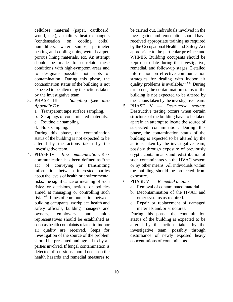cellulose material (paper, cardboard, be carried out. Individuals involved in the wood, etc.), air filters, heat exchangers investigation and remediation should have (condensation on cooling coils), received appropriate training as required humidifiers, water sumps, perimeter by the Occupational Health and Safety Act heating and cooling units, wetted carpet, appropriate to the particular province and porous lining materials, etc. An attempt WHMIS. Building occupants should be should be made to correlate these kept up to date during the investigative, conditions with high-symptom areas and remedial, and follow-up stages. Detailed to designate possible hot spots of information on effective communication contamination. During this phase, the strategies for dealing with indoor air contamination status of the building is not expected to be altered by the actions taken this phase, the contamination status of the

- 3. PHASE III *Sampling (see also* the actions taken by the investigative team. *Appendix D):* 5. PHASE V — *Destructive testing:*
	-
	-
	-
	-

4. PHASE IV — *Risk communication:* Risk cryptic contaminants and redistribution of about the levels of health or environmental exposure. risks; the significance or meaning of such 6. PHASE VI — *Remedial actions:* risks; or decisions, actions or policies a. Removal of contaminated material. aimed at managing or controlling such b. Decontamination of the HVAC and risks."<sup>31</sup> Lines of communication between other systems as required. building occupants, workplace health and c. Repair or replacement of damaged safety officials, building managers and materials and/or structures. owners, employers, and union During this phase, the contamination representatives should be established as status of the building is expected to be soon as health complaints related to indoor altered by the actions taken by the air quality are received. Steps for investigative team, possibly through investigation of the source of the problem disturbance of newly exposed heavy should be presented and agreed to by all concentrations of contaminants parties involved. If fungal contamination is detected, discussions should occur on the health hazards and remedial measures to

by the investigative team. building is not expected to be altered by quality problems is available.<sup>2,32,33</sup> During

- a. Transparent tape surface sampling. Destructive testing occurs when certain b. Scrapings of contaminated materials. structures of the building have to be taken c. Routine air sampling. apart in an attempt to locate the source of d. Bulk sampling. suspected contamination. During this During this phase, the contamination phase, the contamination status of the status of the building is not expected to be **building** is expected to be altered by the altered by the actions taken by the actions taken by the investigative team, investigative team. possibly through exposure of previously communication has been defined as "the such contaminants via the HVAC system act of conveying or transmitting or by other means. All individuals within information between interested parties the building should be protected from
	- -
		-
		-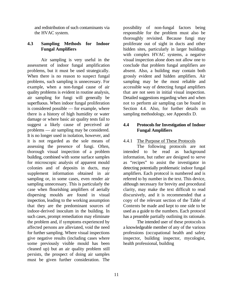### **4.3 Sampling Methods for Indoor Fungal Amplifiers**

assessment of indoor fungal amplification conclude that problem fungal amplifiers are problems, but it must be used strategically. absent. Also, a building may contain both When there is no reason to suspect fungal grossly evident and hidden amplifiers. Air problems, such sampling is unnecessary. For sampling may be the most reliable and example, when a non-fungal cause of air accessible way of detecting fungal amplifiers quality problems is evident in routine analysis, that are not seen in initial visual inspection. air sampling for fungi will generally be Detailed suggestions regarding when and when superfluous. When indoor fungal proliferation not to perform air sampling can be found in is considered possible — for example, where Section 4.4. Also, for further details on there is a history of high humidity or water sampling methodology, see Appendix D. damage or where basic air quality tests fail to suggest a likely cause of perceived air problems — air sampling may be considered. It is no longer used in isolation, however, and it is not regarded as the sole means of 4.4.1 The Purpose of These Protocols assessing the presence of fungi. Often, The following protocols are not thorough visual inspection of a problem intended to be read as background building, combined with some surface samples information, but rather are designed to serve for microscopic analysis of apparent mould as "recipes" to assist the investigator in colonies and of deposits in ducts, may detecting potentially problematic indoor fungal supplement information obtained in air amplifiers. Each protocol is numbered and is sampling or, in some cases, even render air referred to by number in the text. This device, sampling unnecessary. This is particularly the although necessary for brevity and procedural case when flourishing amplifiers of aerially clarity, may make the text difficult to read dispersing moulds are found in visual discursively, and it is recommended that a inspection, leading to the working assumption copy of the relevant section of the Table of that they are the predominant sources of Contents be made and kept to one side to be indoor-derived inoculum in the building. In used as a guide to the numbers. Each protocol such cases, prompt remediation may eliminate has a preamble partially outlining its rationale. the problem and, if symptoms experienced by The intended user of these protocols is affected persons are alleviated, void the need a knowledgeable member of any of the various for further sampling. Where visual inspections professions (occupational health and safety give negative results (including cases where inspector, building inspector, mycologist, some previously visible mould has been health professional, building cleaned up) but an air quality problem still persists, the prospect of doing air samples must be given further consideration. The

and redistribution of such contaminants via possibility of non-fungal factors being the HVAC system. responsible for the problem must also be Air sampling is very useful in the visual inspection alone does not allow one to thoroughly revisited. Because fungi may proliferate out of sight in ducts and other hidden sites, particularly in larger buildings with complex HVAC systems, a negative

### **4.4 Protocols for Investigation of Indoor Fungal Amplifiers**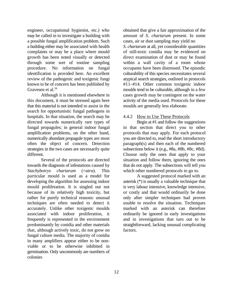engineer, occupational hygienist, etc.) who obtained that give a fair approximation of the may be called in to investigate a building with amount of *S*. *chartarum* present. In some a possible fungal amplification problem. Such cases, air or dust sampling may yield no a building either may be associated with health *S*. *chartarum* at all, yet considerable quantities complaints or may be a place where mould of still-toxic conidia may be evidenced on growth has been noted visually or detected direct examination of dust or may be found through some sort of routine sampling within a wall cavity of a room whose procedure. No information on fungal occupants have been distressed. The episodic identification is provided here. An excellent culturability of this species necessitates several review of the pathogenic and toxigenic fungi atypical search strategies, outlined in protocols known to be of concern has been published by  $#11-\#14$ . Other common toxigenic indoor Gravesen et al. $34$  moulds tend to be culturable, although in a few

this document, it must be stressed again here activity of the media used. Protocols for these that this material is not intended to assist in the moulds are generally less elaborate. search for opportunistic fungal pathogens in hospitals. In that situation, the search may be 4.4.2 How to Use These Protocols directed towards numerically rare types of Begin at #1 and follow the suggestions fungal propagules; in general indoor fungal in that section that direct you to other amplification problems, on the other hand, protocols that may apply. For each protocol numerically abundant propagule types are most you are directed to, read the short introductory often the object of concern. Detection paragraph(s) and then each of the numbered strategies in the two cases are necessarily quite subsections below it (e.g., #8a, #8b, #8c, #8d). different. Choose only the ones that apply to your

towards the diagnosis of infestations caused by that do not apply. The subsections will tell you *Stachybotrys chartarum* (=*atra*). This which other numbered protocols to go to. particular mould is used as a model for A suggested protocol marked with an developing the algorithm for assessing indoor asterisk (\*) is usually a valuable technique that mould proliferation. It is singled out not is very labour intensive, knowledge intensive, because of its relatively high toxicity, but or costly and that would ordinarily be done rather for purely technical reasons: unusual only after simpler techniques had proven techniques are often needed to detect it unable to resolve the situation. Techniques accurately. Unlike other toxigenic moulds marked with an asterisk can therefore associated with indoor proliferation, it ordinarily be ignored in early investigations frequently is represented in the environment and in investigations that turn out to be predominantly by conidia and other materials straightforward, lacking unusual complicating that, although actively toxic, do not grow on factors. fungal culture media. The majority of conidia in many amplifiers appear either to be nonviable or to be otherwise inhibited in germination. Only uncommonly are numbers of colonies

Although it is mentioned elsewhere in cases growth may be contingent on the water

Several of the protocols are directed situation and follow them, ignoring the ones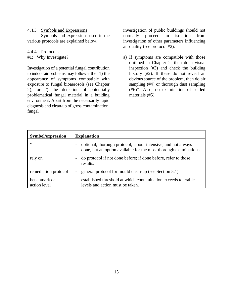#### 4.4.4 Protocols

to indoor air problems may follow either 1) the history (#2). If these do not reveal an appearance of symptoms compatible with obvious source of the problem, then do air appearance of symptoms compatible with exposure to fungal bioaerosols (see Chapter sampling (#4) or thorough dust sampling 2), or 2) the detection of potentially (#6)\*. Also, do examination of settled problematical fungal material in a building materials (#5). environment. Apart from the necessarily rapid diagnosis and clean-up of gross contamination, fungal

4.4.3 Symbols and Expressions investigation of public buildings should not Symbols and expressions used in the normally proceed in isolation from various protocols are explained below. investigation of other parameters influencing air quality (see protocol #2).

#1: Why Investigate? a) If symptoms are compatible with those Investigation of a potential fungal contribution inspection (#3) and check the building outlined in Chapter 2, then do a visual

| <b>Symbol/expression</b>     | <b>Explanation</b>                                                                                                                 |
|------------------------------|------------------------------------------------------------------------------------------------------------------------------------|
| ∗                            | optional, thorough protocol, labour intensive, and not always<br>done, but an option available for the most thorough examinations. |
| rely on                      | do protocol if not done before; if done before, refer to those<br>results.                                                         |
| remediation protocol         | general protocol for mould clean-up (see Section 5.1).                                                                             |
| benchmark or<br>action level | established threshold at which contamination exceeds tolerable<br>levels and action must be taken.                                 |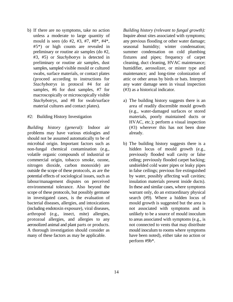b) If there are no symptoms, take no action *Building history (relevant to fungal growth):* samples, #6 for dust samples, #7 for (#3) as a historical indicator. macroscopically or microscopically visible

problems may have various etiologies and already. should not be assumed automatically to be of microbial origin. Important factors such as b) The building history suggests there is a non-fungal chemical contamination (e.g., hidden locus of mould growth (e.g., volatile organic compounds of industrial or previously flooded wall cavity or false commercial origin, tobacco smoke, ozone, ceiling; previously flooded carpet backing; nitrogen dioxide, carbon monoxide) are unshielded cold water pipes or leaky pipes outside the scope of these protocols, as are the in false ceilings; previous fire extinguished potential effects of sociological issues, such as by water, possibly affecting wall cavities; labour/management disputes on perceived insulation materials present inside ducts). environmental tolerance. Also beyond the In these and similar cases, where symptoms scope of these protocols, but possibly germane warrant only, do an extraordinary physical in investigated cases, is the evaluation of search (#9). Where a hidden locus of bacterial diseases, allergies, and intoxications mould growth is suggested but the area is (including endotoxin exposure), viral diseases, not associated with symptoms and is arthropod (e.g., insect, mite) allergies, unlikely to be a source of mould inoculum protozoal allergies, and allergies to any to areas associated with symptoms (e.g., is aerosolized animal and plant parts or products. not connected to vents that may distribute A thorough investigation should consider as mould inoculum to rooms where symptoms many of these factors as may be applicable. have been noted), either take no action or

unless a moderate to large quantity of Inquire about sites associated with symptoms; mould is seen (do  $\#2$ ,  $\#3$ ,  $\#7$ ,  $\#8^*$ ,  $\#4^*$ , any previous flooding or other water damage; #5\*) or high counts are revealed in seasonal humidity; winter condensation; preliminary or routine air samples (do #2, summer condensation on cold plumbing #3, #5) or *Stachybotrys* is detected in fixtures and pipes; frequency of carpet preliminary or routine air samples, dust cleaning, duct cleaning, HVAC maintenance; samples, sampled visible mould or cultured humidifier, aerosolizer, or mister type and swabs, surface materials, or contact plates maintenance; and long-time colonization of (proceed according to instructions for attic or other areas by birds or bats. Interpret *Stachybotrys* in protocol #4 for air any water damage seen in visual inspection

- *Stachybotrys*, and #8 for swab/surface a) The building history suggests there is an material cultures and contact plates). The area of readily discernible mould growth #2: Building History Investigation materials, poorly maintained ducts or *Building history (general):* Indoor air (#3) wherever this has not been done (e.g., water-damaged surfaces or stored HVAC, etc.); perform a visual inspection
	- perform #9b\*.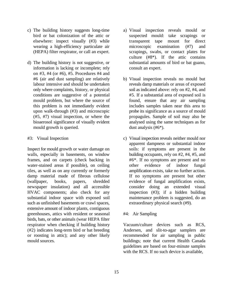- c) The building history suggests long-time a) Visual inspection reveals mould or
- information is lacking or incomplete; rely consult an expert. on #3, #4 (or #6), #5. Procedures #4 and mould growth is queried. dust analysis (#6\*).

walls, especially in basements, on window building occupants, rely on #2, #4, #5, and frames, and on carpets (check backing in #6<sup>\*</sup>. If no symptoms are present and no water-stained areas if possible), on ceiling other evidence of indoor fungal tiles, as well as on any currently or formerly amplification exists, take no further action. damp material made of fibrous cellulose If no symptoms are present but other (wallpaper, books, papers, shredded evidence of fungal amplification exists, newspaper insulation) and all accessible consider doing an extended visual HVAC components; also check for any inspection (#3); if a hidden building substantial indoor space with exposed soil maintenance problem is suggested, do an such as unfinished basements or crawl spaces, extraordinary physical search (#9). extensive amount of indoor plants, contiguous greenhouses, attics with resident or seasonal #4: Air Sampling birds, bats, or other animals (wear HEPA filter respirator when checking if building history Vacuum/culture devices such as RCS, (#2) indicates long-term bird or bat breeding Andersen, and slit-to-agar samplers are or roosting in attic); and any other likely recommended for air sampling in public mould sources. buildings; note that current Health Canada

- bird or bat colonization of the attic or suspected mould: take scrapings or elsewhere: inspect visually (#3) while transparent tape mount for direct wearing a high-efficiency particulate air microscopic examination (#7) and (HEPA) filter respirator, or call an expert. scrapings, swabs, or contact plates for d) The building history is not suggestive, or substantial amounts of bird or bat guano, culture (#8\*). If the attic contains
	- #6 (air and dust sampling) are relatively b) Visual inspection reveals no mould but labour intensive and should be undertaken reveals damp materials or areas of exposed only where complaints, history, or physical soil as indicated above: rely on #2, #4, and conditions are suggestive of a potential #5. If a substantial area of exposed soil is mould problem, but where the source of found, ensure that any air sampling this problem is not immediately evident includes samples taken near this area to upon walk-through (#3) and microscopic probe its significance as a source of mould (#5, #7) visual inspection, or where the propagules. Sample of soil may also be bioaerosol significance of visually evident analysed using the same techniques as for
- #3: Visual Inspection c) Visual inspection reveals neither mould nor Inspect for mould growth or water damage on soils: if symptoms are present in the apparent dampness or substantial indoor

guidelines are based on four-minute samples with the RCS. If no such device is available,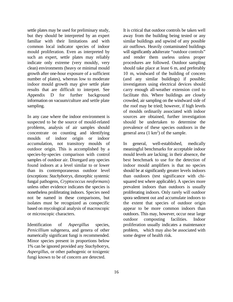settle plates may be used for preliminary study, It is critical that outdoor controls be taken well but they should be interpreted by an expert away from the building being tested or any familiar with their limitations and with similar buildings and upwind of any possible common local indicator species of indoor air outflows. Heavily contaminated buildings mould proliferation. Even as interpreted by will significantly adulterate "outdoor controls" such an expert, settle plates may reliably and render them useless unless proper indicate only extreme (very mouldy, very procedures are followed. Outdoor sampling clean) environments (heavy or minimal mould should take place at least 6 m, and preferably growth after one-hour exposure of a sufficient 10 m, windward of the building of concern number of plates), whereas low to moderate (and any similar buildings) if possible; indoor mould growth may give settle plate investigators using electrical devices should results that are difficult to interpret. See carry enough all-weather extension cord to Appendix D for further background facilitate this. Where buildings are closely information on vacuum/culture and settle plate crowded, air sampling on the windward side of sampling. the roof may be tried; however, if high levels

suspected to be the source of mould-related should be undertaken to determine the problems, analysis of air samples should prevalence of these species outdoors in the concentrate on counting and identifying moulds of indoor origin or indoor accumulation, not transitory moulds of In general, well-established, medically outdoor origin. This is accomplished by a meaningful benchmarks for acceptable indoor species-by-species comparison with control mould levels are lacking; in their absence, the samples of outdoor air. Disregard any species best benchmark to use for the detection of found indoors at a level similar to or lower indoor mould amplifiers is that no species than its contemporaneous outdoor level should be at significantly greater levels indoors (exceptions: *Stachybotrys*, dimorphic systemic than outdoors (test significance with chifungal pathogens, *Cryptococcus neoformans*) squared test where applicable). A species more unless other evidence indicates the species is prevalent indoors than outdoors is usually nonetheless proliferating indoors. Species need proliferating indoors. Only rarely will outdoor not be named in these comparisons, but spora sediment out and accumulate indoors to isolates must be recognized as conspecific the extent that species of outdoor origin based on mycological analysis of macroscopic appear to be more common indoors than or microscopic characters. outdoors. This may, however, occur near large

Identification of *Aspergillus* species, proliferation usually indicates a maintenance *Penicillium* subgenera, and genera of other problem, which may also be associated with numerically significant fungi is recommended. some degree of health risk. Minor species present in proportions below 1% can be ignored provided any *Stachybotrys*, *Aspergillus*, or other pathogenic or toxigenic fungi known to be of concern are detected.

In any case where the indoor environment is sources are obtained, further investigation of moulds ordinarily associated with indoor general area  $(1 \text{ km}^2)$  of the sample.

outdoor composting facilities. Indoor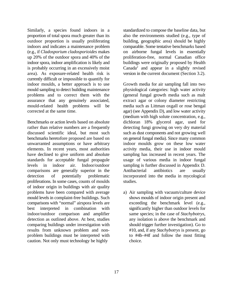Similarly, a species found indoors in a standardized to compose the baseline data, but proportion of total spora much greater than its also the environments studied (e.g., type of outdoor proportion is usually proliferating building, geographic area) should be highly indoors and indicates a maintenance problem comparable. Some tentative benchmarks based (e.g., if *Cladosporium cladosporioides* makes on airborne fungal levels in essentially up 20% of the outdoor spora and 40% of the proliferation-free, normal Canadian office indoor spora, indoor amplification is likely and buildings were originally proposed by Health is probably occurring in an excessively moist area). As exposure-related health risk is version in the current document (Section 3.2). currently difficult or impossible to quantify for indoor moulds, a better approach is to use Growth media for air sampling fall into two mould sampling to detect building maintenance physiological categories: high water activity problems and to correct them with the (general fungal growth media such as malt assurance that any genuinely associated, extract agar or colony diameter restricting mould-related health problems will be media such as Littman oxgall or rose bengal corrected at the same time. agar) (see Appendix D), and low water activity

rather than relative numbers are a frequently detecting fungi growing on very dry material discussed scientific ideal, but most such such as dust components and not growing well benchmarks heretofore proposed are based on on general fungal media). Since many common unwarranted assumptions or have arbitrary indoor moulds grow on these low water elements. In recent years, most authorities activity media, their use in indoor mould have declined to give uniform and absolute sampling has increased in recent years. The standards for acceptable fungal propagule usage of various media in indoor fungal levels in indoor air. Indoor/outdoor sampling is further discussed in Appendix D. comparisons are generally superior in the Antibacterial antibiotics are usually detection of potentially problematic incorporated into the media in mycological proliferations. In some cases, counts of moulds studies. of indoor origin in buildings with air quality problems have been compared with average a) Air sampling with vacuum/culture device mould levels in complaint-free buildings. Such shows moulds of indoor origin present and comparisons with "normal" airspora levels are exceeding the benchmark level (e.g., best interpreted in combination with significantly higher than outdoor levels for indoor/outdoor comparison and amplifier same species; in the case of *Stachybotrys*, detection as outlined above. At best, studies any isolation is above the benchmark and comparing buildings under investigation with should trigger further investigation). Go to results from unknown problem and non- #10, and, if any *Stachybotrys* is present, go problem buildings must be interpreted with to #4b–#4f and follow the most fitting caution. Not only must technology be highly choice.

Canada<sup>2</sup> and appear in a slightly revised

Benchmarks or action levels based on absolute dichloran 18% glycerol agar, used for (medium with high solute concentration, e.g.,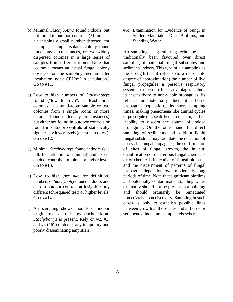- b) Minimal *Stachybotrys* found indoors but #5: Examination for Evidence of Fungi in a vanishingly small number detected: for Standing Water example, a single isolated colony found incubation, not a  $CFU/m^3$  in calculation.)
- 
- 
- 
- origin are absent or below benchmark; no sedimented inoculum sampled elsewhere. *Stachybotrys* is present. Rely on #2, #3, and #5 (#6\*) to detect any temporary and poorly disseminating amplifiers.

not found in outdoor controls. (Minimal = Settled Materials: Dust, Biofilms, and

under any circumstances, or two widely<br>dispersed colonies in a large series of traditionally been favoured over direct traditionally been favoured over direct samples from different rooms. Note that sampling of potential fungal substrates and "colony" means an actual fungal colony sediments indoors. This type of air sampling as observed on the sampling medium after the strength that it reflects (to a reasonable degree of approximation) the number of live Go to #11. **Fungal propagules a person's respiratory** c) Low to high numbers of *Stachybotrys* its insensitivity to non-viable propagules, its found ("low to high": at least three reliance on potentially fluctuant airborne reliance on potentially fluctuant airborne colonies in a multi-room sample or two propagule populations, its short sampling colonies from a single room; or more times, making phenomena like diurnal cycles colonies found under any circumstances) of propagule release difficult to discern, and its but either not found in outdoor controls or inability to discern the source of indoor found in outdoor controls at statistically propagules. On the other hand, the direct significantly lower levels (chi-squared test). Sampling of sediments and solid or liquid Go to #12. **Fungal substrata may facilitate the detection of** d) Minimal *Stachybotrys* found indoors (see of sites of fungal growth, the in situ #4b for definition of minimal) and also in quantification of deleterious fungal chemicals outdoor controls at minimal or higher level. or of chemicals indicative of fungal biomass, Go to #13. **and the discernment of patterns of fungal** e) Low to high (see #4c for definition) periods of time. Note that significant biofilms numbers of *Stachybotrys* found indoors and and potentially contaminated standing water also in outdoor controls at insignificantly ordinarily should not be present in a building different (chi-squared test) or higher levels. and should ordinarily be remediated Go to #14. **immediately upon discovery.** Sampling in such f) Air sampling shows moulds of indoor between growth at these sites and airborne or system is exposed to. Its disadvantages include non-viable fungal propagules, the confirmation propagule deposition over moderately long cases is only to establish possible links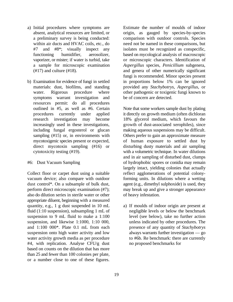- 
- symptoms warrant investigation and be of concern are detected. resources permit: do all procedures outlined in #5, as well as #6. Certain Note that some workers sample dust by plating

vacuum device; also compare with outdoor forming units. In dilutions where a wetting dust control<sup>\*</sup>. On a subsample of bulk dust, agent (e.g., dimethyl sulphoxide) is used, they perform direct microscopic examination (#7); may break up and give a stronger appearance also do dilution series in sterile water or other of heavy infestation. appropriate diluent, beginning with a measured quantity, e.g., 1 g dust suspended in 10 mL a) If moulds of indoor origin are present at fluid (1:10 suspension), subsampling 1 mL of negligible levels or below the benchmark suspension to 9 mL fluid to make a 1:100 level (see below), take no further action suspension, and likewise 1:1000, 1:10 000, unless indicated by other procedures. The and 1:100 000\*. Plate 0.1 mL from each presence of any quantity of *Stachybotrys* suspension onto high water activity and low always warrants further investigation — go water activity growth media as per procedure to #6b. Re benchmark: there are currently #4, with replication. Analyse CFU/g dust no proposed benchmarks for based on counts on the dilution that has more than 25 and fewer than 100 colonies per plate, or a number close to one of these figures.

a) Initial procedures where symptoms are Estimate the number of moulds of indoor absent, analytical resources are limited, or origin, as gauged by species-by-species a preliminary survey is being conducted: comparison with outdoor controls. Species within air ducts and HVAC coils, etc., do need not be named in these comparisons, but #7 and #8\*; visually inspect any isolates must be recognized as conspecific, functioning humidifier, aerosolizer, based on mycological analysis of macroscopic vaporizer, or mister; if water is turbid, take or microscopic characters. Identification of a sample for microscopic examination *Aspergillus* species, *Penicillium* subgenera,  $(\text{\#17})$  and culture  $(\text{\#18})$ . and genera of other numerically significant b) Examination for evidence of fungi in settled in proportions below 1% can be ignored materials: dust, biofilms, and standing provided any *Stachybotrys*, *Aspergillus*, or water. Rigorous procedure where other pathogenic or toxigenic fungi known to fungi is recommended. Minor species present

procedures currently under applied it directly on growth medium (often dichloran research investigation may become 18% glycerol medium, which favours the increasingly used in these investigations, growth of dust-associated xerophiles), since including fungal ergosterol or glucan making aqueous suspensions may be difficult. sampling (#15) or, in environments with Others prefer to gain an approximate measure mycotoxigenic species present or expected, of human exposure to settled dust by direct mycotoxin sampling (#16) or disturbing dusty materials and air sampling cytotoxicity testing (#19). with a volumetric technique. In water dilutions #6: Dust Vacuum Sampling of hydrophobic spores or conidia may remain Collect floor or carpet dust using a suitable reflect agglomerations of potential colonyand in air sampling of disturbed dust, clumps largely intact, yielding colonies that actually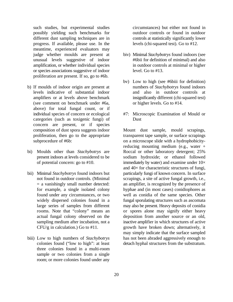such studies, but experimental studies circumstances) but either not found in possibly yielding such benchmarks for outdoor controls or found in outdoor different dust sampling techniques are in controls at statistically significantly lower progress. If available, please use. In the levels (chi-squared test). Go to #12. meantime, experienced evaluators may judge whether moulds are present at biv) Minimal *Stachybotrys* found indoors (see or species associations suggestive of indoor level. Go to #13. proliferation are present. If so, go to #6b.

- (see comment on benchmark under  $#6a$ , or higher levels. Go to  $#14$ . above) for total fungal count, or if categories (such as toxigenic fungi) of Dust concern are present, or if species composition of dust spora suggests indoor Mount dust sample, mould scrapings,
- 
- 
- three colonies found in a multi-room sample or two colonies from a single room; or more colonies found under any

- unusual levels suggestive of indoor #6bii for definition of minimal) and also amplification, or whether individual species in outdoor controls at minimal or higher
- b) If moulds of indoor origin are present at numbers of *Stachybotrys* found indoors levels indicative of substantial indoor and also in outdoor controls at amplifiers or at levels above benchmark insignificantly different (chi-squared test) bv) Low to high (see #6biii for definition)
	- individual species of concern or ecological #7: Microscopic Examination of Mould or

proliferation, then go to the appropriate transparent tape sample, or surface scrapings subprocedure of #6b: on a microscope slide with a hydrophobicitybi) Moulds other than *Stachybotrys* are Roccal or other laboratory detergent; 25% present indoors at levels considered to be sodium hydroxide; or ethanol followed of potential concern: go to #10. immediately by water) and examine under  $10\times$ bii) Minimal *Stachybotrys* found indoors but particularly fungi of known concern. In surface not found in outdoor controls. (Minimal scrapings, a site of active fungal growth, i.e., = a vanishingly small number detected: an amplifier, is recognized by the presence of for example, a single isolated colony hyphae and (in most cases) conidiophores as found under any circumstances, or two well as conidia of the same species. Other widely dispersed colonies found in a fungal sporulating structures such as ascomata large series of samples from different may also be present. Heavy deposits of conidia rooms. Note that "colony" means an or spores alone may signify either heavy actual fungal colony observed on the deposition from another source or an old, sampling medium after incubation, not a inactive amplifier in which structures of active  $CFU/g$  in calculation.) Go to #11. growth have broken down; alternatively, it biii) Low to high numbers of *Stachybotrys* has not been abraded aggressively enough to colonies found ("low to high": at least detach hyphal structures from the substratum. reducing mounting medium (e.g., water + and  $40\times$  for characteristic structures of fungi, may simply indicate that the surface sampled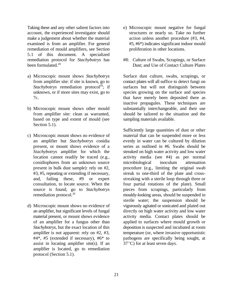account, the experienced investigator should structures or nearly so. Take no further make a judgement about whether the material action unless another procedure (#3, #4, examined is from an amplifier. For general  $#5, #6*)$  indicates significant indoor mould remediation of mould amplifiers, see Section proliferation in other locations. 5.1 of this document. A specialized remediation protocol for *Stachybotrys* has #8: Culture of Swabs, Scrapings, or Surface been formulated.<sup>28</sup> Dust; and Use of Contact Culture Plates

- a) Microscopic mount shows *Stachybotrys* Surface dust culture, swabs, scrapings, or *Stachybotrys* remediation protocol<sup>28</sup>; if
- based on type and extent of mould (see sampling materials available. Section 5.1).
- 
- assist in locating amplifier site(s). If an  $37^{\circ}$ C) for at least seven days. amplifier is located, go to remediation protocol (Section 5.1).
- Taking these and any other salient factors into e) Microscopic mount negative for fungal
	-

from amplifier site: if site is known, go to contact plates will all suffice to detect fungi on surfaces but will not distinguish between unknown, or if more sites may exist, go to species growing on the surface and species 7c. that have merely been deposited there as b) Microscopic mount shows other mould substantially interchangeable, and their use from amplifier site: clean as warranted, should be tailored to the situation and the inactive propagules. These techniques are

c) Microscopic mount shows no evidence of material that can be suspended more or less an amplifier but *Stachybotrys* conidia evenly in water can be cultured by dilution present, or mount shows evidence of a series as outlined in #6. Swabs should be *Stachybotrys* amplifier for which the streaked on high water activity and low water location cannot readily be traced (e.g., activity media (see #4) as per normal conidiophores from an unknown source microbiological inoculum attenuation present in bulk dust sample): rely on #2, procedure (e.g., limiting the original swab #3, #5, repeating or extending if necessary, streak to one-third of the plate and crossand, failing these, #9 or expert streaking with a sterile loop through three or consultation, to locate source. When the four partial rotations of the plate). Small source is found, go to *Stachybotrys* pieces from scrapings, particularly from remediation protocol. $28$  mouldy-looking areas, should be suspended in d) Microscopic mount shows no evidence of vigorously agitated or sonicated and plated out an amplifier, but significant levels of fungal directly on high water activity and low water material present, or mount shows evidence activity media. Contact plates should be of an amplifier for a fungus other than applied to surfaces where mould growth or *Stachybotrys*, but the exact location of this deposition is suspected and incubated at room amplifier is not apparent: rely on #2, #3, temperature (or, where invasive opportunistic #4\*, #5 (extended if necessary), #6\* to pathogens are specifically being sought, at Sufficiently large quantities of dust or other sterile water; the suspension should be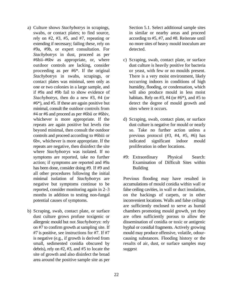- a) Culture shows *Stachybotrys* in scrapings, Section 5.1. Select additional sample sites swabs, or contact plates; to find source, in similar or nearby areas and proceed rely on #2, #3, #5, and #7, repeating or according to #5, #7, and #8. Reiterate until extending if necessary; failing these, rely on no more sites of heavy mould inoculum are #9a, #9b, or expert consultation. For detected. *Stachybotrys* in dust, proceed as per #6bii–#6bv as appropriate, or, where c) Scraping, swab, contact plate, or surface minimal, consult the outdoor controls from sites where it occurs. #4 or #6 and proceed as per #6bii or #6biv, repeats are negative, then disinfect the site proliferation in other locations. where *Stachybotrys* was isolated. If no has been done, consider doing #9. If #9 and Building all other procedures following the initial minimal isolation of *Stachybotrys* are Previous flooding may have resulted in
- debris), rely on  $#2, #3$ , and  $#5$  to locate the suggest site of growth and also disinfect the broad area around the positive sample site as per

- outdoor controls are lacking, consider dust culture is heavily positive for bacteria proceeding as per #6\*. If the original or yeast, with few or no moulds present. *Stachybotrys* in swabs, scrapings, or There is a very moist environment, likely contact plates was minimal, seen only as occurring indoors in conditions of high one or two colonies in a large sample, and humidity, flooding, or condensation, which if #9a and #9b fail to show evidence of will also produce mould in less moist *Stachybotrys*, then do a new  $#3$ ,  $#4$  (or habitats. Rely on  $#3$ ,  $#4$  (or  $#6^*$ ), and  $#5$  to #6\*), and #5. If these are again positive but detect the degree of mould growth and
- whichever is more appropriate. If the d) Scraping, swab, contact plate, or surface repeats are again positive but levels rise dust culture is negative for mould or nearly beyond minimal, then consult the outdoor so. Take no further action unless a controls and proceed according to #6biii or previous protocol (#3, #4, #5, #6) has 6bv, whichever is more appropriate. If the indicated significant indoor mould
- symptoms are reported, take no further #9: Extraordinary Physical Search: action; if symptoms are reported and #9a Examination of Difficult Sites within

negative but symptoms continue to be accumulations of mould conidia within wall or reported, consider monitoring again in  $2-3$  false ceiling cavities, in wall or duct insulation, months in addition to testing non-fungal on the backings of carpets, or in other potential causes of symptoms. inconvenient locations. Walls and false ceilings b) Scraping, swab, contact plate, or surface chambers promoting mould growth, yet they dust culture grows profuse toxigenic or are often sufficiently porous to allow the allergenic mould but not *Stachybotrys*: rely dissemination of conidia or toxic or antigenic on #7 to confirm growth at sampling site. If hyphal or conidial fragments. Actively growing #7 is positive, see instructions for #7. If #7 mould may produce offensive, volatile, odouris negative (e.g., if growth is derived from causing substances. Flooding history or the small, sedimented conidia obscured by results of air, dust, or surface samples may are sufficiently enclosed to serve as humid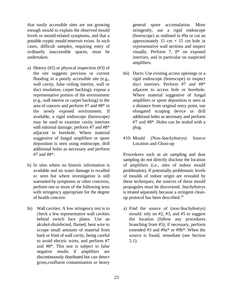that easily accessible sites are not growing general spore accumulation. More enough mould to explain the observed mould stringently, use a rigid endoscope levels or mould-related symptoms, and that a (borescope) as outlined in #9a or cut an possible cryptic mould reservoir exists. In such approximately 15 cm  $\times$  15 cm hole in cases, difficult samples, requiring entry of representative wall sections and inspect ordinarily inaccessible spaces, must be visually. Perform 7, 8\* on exposed undertaken. interiors, and in particular on suspected

- a) History (#2) or physical inspection (#3) of the site suggests previous or current bii) Ducts: Use existing access openings or a with minimal damage; perform  $#7$  and  $#8^*$  plug. adjacent to borehole. Where material deposition is seen using endoscope, drill Location and Clean-up additional holes as necessary and perform
- of health concern: up protocol has been described.<sup>28</sup>
- to avoid electric wires, and perform #7  $5.1$ ). and #8\*. This test is subject to false negative results if amplifiers are discontinuously distributed but can detect gross,confluent contamination or heavy

amplifiers.

- flooding in a poorly accessible site (e.g., rigid endoscope (borescope) to inspect wall cavity, false ceiling interior, wall or duct interiors. Perform #7 and #8\* duct insulation, carpet backing): expose a adjacent to access hole or borehole. representative portion of the environment Where material suggestive of fungal (e.g., wall interior or carpet backing) in the amplifiers or spore deposition is seen at area of concern and perform  $#7$  and  $#8^*$  in a distance from original entry point, use the newly exposed environment. If elongated scraping device or drill available, a rigid endoscope (borescope) additional holes as necessary and perform may be used to examine cavity interiors #7 and #8\*. Holes can be sealed with a
- suggestive of fungal amplifiers or spore #10: Mould (Non-*Stachybotrys*) Source

#7 and #8\*. Procedures such as air sampling and dust b) In sites where no historic information is of amplifiers (i.e., sites of indoor mould available and no water damage is recalled proliferation). If potentially problematic levels or seen but where investigation is still of moulds of indoor origin are revealed by warranted by symptoms or other concerns, these techniques, the sources of these mould perform one or more of the following tests propagules must be discovered. *Stachybotrys* with stringency appropriate for the degree is treated separately because a stringent cleansampling do not directly disclose the location

bi) Wall cavities: A low stringency test is to a) Find the source of (non-*Stachybotrys*) check a few representative wall cavities mould: rely on #2, #3, and #5 to suggest behind switch face plates. Use an the location (follow any procedures alcohol-disinfected, flamed, bent wire to branching from #5); if necessary, perform scrape small amounts of material from extended #3 and #9a\* or #9b\*. When the back or front of wall cavity, being careful source is found, remediate (see Section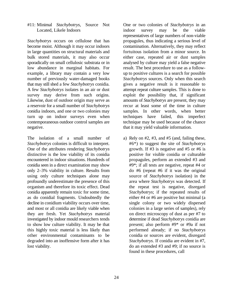# #11: Minimal *Stachybotrys*, Source Not One or two colonies of *Stachybotrys* in an

*Stachybotrys* occurs on cellulose that has propagules, thus indicating a serious level of become moist. Although it may occur indoors contamination. Alternatively, they may reflect in large quantities on structural materials and fortuitous isolation from a minor source. In bulk stored materials, it may also occur either case, repeated air or dust samples sporadically on small cellulosic substrata or in analysed by culture may yield a false negative low abundance in marginal habitats. For result. The best procedure to use as a followexample, a library may contain a very low up to positive cultures is a search for possible number of previously water-damaged books *Stachybotrys* sources. Only when this search that may still shed a few *Stachybotrys* conidia. gives a negative result is it reasonable to A few *Stachybotrys* isolates in an air or dust attempt repeat culture samples. This is done to A few *Stachybotrys* isolates in an air or dust survey may derive from such origins. exploit the possibility that, if significant Likewise, dust of outdoor origin may serve as amounts of *Stachybotrys* are present, they may a reservoir for a small number of *Stachybotrys* recur at least some of the time in culture conidia indoors, and one or two colonies may samples. In other words, when better turn up on indoor surveys even when techniques have failed, this imperfect contemporaneous outdoor control samples are technique may be used because of the chance negative. that it may yield valuable information.

The isolation of a small number of a) Rely on #2, #3, and #5 (and, failing these, *Stachybotrys* colonies is difficult to interpret.  $\#6^*$  to suggest the site of *Stachybotrys* One of the attributes rendering *Stachybotrys* growth. If #3 is negative and #5 or #6 is distinctive is the low viability of its conidia positive for visible conidia or culturable encountered in indoor situations. Hundreds of propagules, perform an extended #3 and conidia seen in a direct examination may show #9\*; if all tests are negative, repeat #4 or only 2–3% viability in culture. Results from do #6 (repeat #6 if it was the original using only culture techniques alone may source of *Stachybotrys* isolation) in the profoundly underestimate the presence of this area where *Stachybotrys* was detected. If organism and therefore its toxic effect. Dead the repeat test is negative, disregard conidia apparently remain toxic for some time, *Stachybotrys*; if the repeated results of as do conidial fragments. Undoubtedly the either #4 or #6 are positive but minimal (a decline in conidium viability occurs over time, single colony or two widely dispersed and most or all conidia are likely viable when colonies in a large series of samples), rely they are fresh. Yet *Stachybotrys* material on direct microscopy of dust as per #7 to investigated by indoor mould researchers tends determine if dead *Stachybotrys* conidia are to show low culture viability. It may be that present; also perform  $\#9^*$  or  $\#9a$  if not this highly toxic material is less likely than performed already; if no *Stachybotrys* other environmental contaminants to be conidia or sources are evident, disregard degraded into an inoffensive form after it has *Stachybotrys*. If conidia are evident in #7, lost viability. do an extended #3 and #9; if no source is

Located, Likele Indoors indoor survey may be the viable representatives of large numbers of non-viable

found in these procedures, call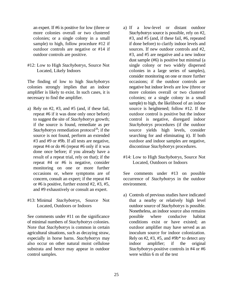The finding of low to high *Stachybotrys* occasions; if the outdoor controls are colonies strongly implies that an indoor negative but indoor levels are low (three or amplifier is likely to exist. In such cases, it is more colonies overall or two clustered necessary to find the amplifier. colonies; or a single colony in a small

- Stachybotrys remediation protocol<sup>28</sup>; if the repeat #4 or do #6 (repeat #6 only if it was discontinue *Stachybotrys* procedures. done once before; if you already have a repeat #4 or #6 is negative, consider Located, Outdoors or Indoors monitoring on one or more further or #6 is positive, further extend #2, #3, #5, environment. and #9 exhaustively or consult an expert.
- 

of minimal numbers of *Stachybotrys* colonies. conditions exist or have existed; an Note that *Stachybotrys* is common in certain outdoor amplifier may have served as an agricultural situations, such as decaying straw, inoculum source for indoor colonization. especially in horse barns. *Stachybotrys* may Rely on #2, #3, #5, and #9b\* to detect any also occur on other natural moist cellulose indoor amplifier; if the original substrata and hence may appear in outdoor *Stachybotrys*-positive controls in #4 or #6 control samples. were within 6 m of the test

- an expert. If #6 is positive for low (three or a) If a low-level or distant outdoor more colonies overall or two clustered *Stachybotrys* source is possible, rely on #2, colonies; or a single colony in a small  $#3$ , and  $#5$  (and, if these fail,  $#6$ , repeated sample) to high, follow procedure  $#12$  if if done before) to clarify indoor levels and outdoor controls are negative or  $#14$  if sources. If new outdoor controls and  $#2$ , outdoor controls are positive. #3, and #5 are negative and a new indoor #12: Low to High *Stachybotrys*, Source Not single colony or two widely dispersed Located, Likely Indoors colonies in a large series of samples), a) Rely on #2, #3, and #5 (and, if these fail, source is heightened; follow #12. If the repeat #6 if it was done only once before) outdoor control is positive but the indoor to suggest the site of *Stachybotrys* growth; control is negative, disregard indoor if the source is found, remediate as per *Stachybotrys* procedures (if the outdoor source yields high levels, consider source is not found, perform an extended searching for and eliminating it). If both #3 and #9 or #9b. If all tests are negative, outdoor and indoor samples are negative, dust sample (#6) is positive but minimal (a consider monitoring on one or more further sample) to high, the likelihood of an indoor
	- result of a repeat trial, rely on that); if the #14: Low to High *Stachybotrys*, Source Not

occasions or, where symptoms are of See comments under #13 on possible concern, consult an expert; if the repeat #4 occurrence of *Stachybotrys* in the outdoor

#13: Minimal *Stachybotrys*, Source Not that a nearby or relatively high level Located, Outdoors or Indoors outdoor source of *Stachybotrys* is possible. See comments under #11 on the significance possible where conducive habitat a) Controls of previous studies have indicated Nonetheless, an indoor source also remains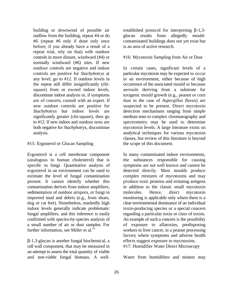before; if you already have a result of a is an area of active research. repeat trial, rely on that) with outdoor controls in more distant, windward  $(\#4)$  or  $\#16$ : Mycotoxin Sampling from Air or Dust normally windward (#6) sites. If new outdoor controls are negative and indoor In certain cases, significant levels of a

### #15: Ergosterol or Glucan Sampling the scope of this document.

Ergosterol is a cell membrane component In many contaminated indoor environments, (analogous to human cholesterol) that is the substances responsible for causing specific to fungi. Quantitative analysis of symptoms are not well known and cannot be ergosterol in an environment can be used to detected directly. Most moulds produce estimate the level of fungal contamination complex mixtures of mycotoxins and may present. It cannot identify whether this produce toxic proteins and irritating antigens contamination derives from indoor amplifiers, in addition to the classic small mycotoxin sedimentation of outdoor airspora, or fungi in molecules. Hence, direct mycotoxin imported mud and debris (e.g., from shoes, monitoring is applicable only where there is a dog or cat feet). Nonetheless, markedly high clear environmental dominance of an individual indoor levels generally indicate problematic toxin-producing species or a special concern fungal amplifiers, and this inference is easily regarding a particular toxin or class of toxins. confirmed with species-by-species analysis of An example of such a concern is the possibility a small number of air or dust samples. For of exposure to aflatoxins, predisposing further information, see Miller et al.<sup>13</sup> workers to liver cancer, in a peanut processing

 $\beta$ -1,3-glucan is another fungal biochemical, a effects suggest exposure to mycotoxins. cell wall component, that may be measured in #17: Humidifier Water Direct Microscopy an attempt to assess the total quantity of viable and non-viable fungal biomass. A well- Water from humidifiers and misters may

building or downwind of possible air established protocol for interpreting  $\beta$ -1,3outflow from the building, repeat #4 or do glucan results from allegedly mould- #6 (repeat #6 only if done only once contaminated buildings does not yet exist but

controls are positive for *Stachybotrys* at particular mycotoxin may be expected to occur any level, go to #12. If outdoor levels in in an environment, either because of high the repeat still differ insignificantly (chi- occurrence of the associated mould or because square) from or exceed indoor levels, aerosols deriving from a substrate for discontinue indoor analysis or, if symptoms toxigenic mould growth (e.g., peanut or corn are of concern, consult with an expert. If dust in the case of *Aspergillus flavus*) are new outdoor controls are positive for suspected to be present. Direct mycotoxin *Stachybotrys* but indoor levels are detection mechanisms ranging from simple significantly greater (chi-square), then go medium tests to complex chromatography and to #12. If new indoor and outdoor tests are spectrometry may be used to determine both negative for *Stachybotrys*, discontinue mycotoxin levels. A large literature exists on analysis. analytical techniques for various mycotoxin classes, but review of this literature is beyond

factory where symptoms and adverse health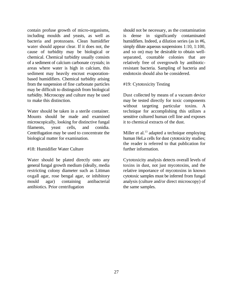contain profuse growth of micro-organisms, should not be necessary, as the contamination including moulds and yeasts, as well as is dense in significantly contaminated bacteria and protozoans. Clean humidifier humidifiers. Indeed, a dilution series (as in #6, water should appear clear. If it does not, the simply dilute aqueous suspensions  $1:10$ ,  $1:100$ , cause of turbidity may be biological or and so on) may be desirable to obtain wellchemical. Chemical turbidity usually consists separated, countable colonies that are of a sediment of calcium carbonate crystals; in relatively free of overgrowth by antibioticareas where water is high in calcium, this resistant bacteria. Sampling of bacteria and sediment may heavily encrust evaporation-<br>endotoxin should also be considered. based humidifiers. Chemical turbidity arising from the suspension of fine carbonate particles #19: Cytotoxicity Testing may be difficult to distinguish from biological turbidity. Microscopy and culture may be used Dust collected by means of a vacuum device to make this distinction. may be tested directly for toxic components

Mounts should be made and examined sensitive cultured human cell line and exposes microscopically, looking for distinctive fungal it to chemical extracts of the dust. filaments, yeast cells, and conidia. Centrifugation may be used to concentrate the  $\blacksquare$  Miller et al.<sup>13</sup> adapted a technique employing biological matter for examination. human HeLa cells for dust cytotoxicity studies;

### #18: Humidifier Water Culture further information.

Water should be plated directly onto any Cytotoxicity analysis detects overall levels of general fungal growth medium (ideally, media toxins in dust, not just mycotoxins, and the restricting colony diameter such as Littman relative importance of mycotoxins in known oxgall agar, rose bengal agar, or inhibitory cytotoxic samples must be inferred from fungal mould agar) containing antibacterial analysis (culture and/or direct microscopy) of antibiotics. Prior centrifugation the same samples.

Water should be taken in a sterile container. technique for accomplishing this utilizes a without targeting particular toxins. A

the reader is referred to that publication for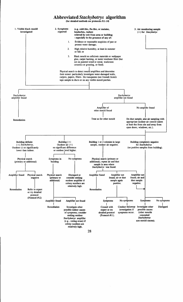# **Abbreviated Stachybotrys algorithm**

(for detailed methods see protocols #11-14)

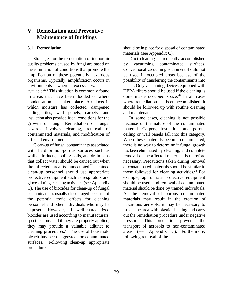## **V. Remediation and Preventive Maintenance of Buildings**

#### **5.1 Remediation**

quality problems caused by fungi are based on by vacuuming contaminated surfaces. the elimination of conditions that promote the Conventional vacuuming equipment should not amplification of these potentially hazardous be used in occupied areas because of the organisms. Typically, amplification occurs in possibility of transferring the contaminants into environments where excess water is the air. Only vacuuming devices equipped with available.<sup> $2,33$ </sup> This situation is commonly found HEPA filters should be used if the cleaning is in areas that have been flooded or where done inside occupied space.<sup>28</sup> In all cases condensation has taken place. Air ducts in where remediation has been accomplished, it which moisture has collected, dampened should be followed up with routine cleaning ceiling tiles, wall panels, carpets, and and maintenance. insulation also provide ideal conditions for the In some cases, cleaning is not possible growth of fungi. Remediation of fungal because of the nature of the contaminated hazards involves cleaning, removal of material. Carpets, insulation, and porous contaminated materials, and modification of ceiling or wall panels fall into this category. affected environments. When these materials become contaminated,

with hard or non-porous surfaces such as has been eliminated by cleaning, and complete walls, air ducts, cooling coils, and drain pans removal of the affected materials is therefore that collect water should be carried out when necessary. Precautions taken during removal the affected area is unoccupied.<sup>28</sup> Trained of contaminated materials should be similar to clean-up personnel should use appropriate protective equipment such as respirators and example, appropriate protective equipment gloves during cleaning activities (see Appendix should be used, and removal of contaminated C). The use of biocides for clean-up of fungal material should be done by trained individuals. contaminants is usually discouraged because of As the removal of porous contaminated the potential toxic effects for cleaning materials may result in the creation of personnel and other individuals who may be hazardous aerosols, it may be necessary to exposed. However, if well-characterized isolate the area with plastic sheeting and carry biocides are used according to manufacturers' out the remediation procedure under negative specifications, and if they are properly applied, pressure. This precaution prevents the they may provide a valuable adjunct to transport of aerosols to non-contaminated cleaning procedures.<sup>2</sup> The use of household areas (see Appendix C). Furthermore, bleach has been suggested for contaminated following removal of the surfaces. Following clean-up, appropriate procedures

should be in place for disposal of contaminated materials (see Appendix C).

Strategies for the remediation of indoor air Duct cleaning is frequently accomplished

Clean-up of fungal contaminants associated there is no way to determine if fungal growth those followed for cleaning activities.<sup>28</sup> For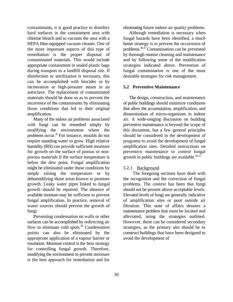contaminants, it is good practice to disinfect eliminating future indoor air quality problems. hard surfaces in the containment area with Although remediation is necessary when chlorine bleach and to vacuum the area with a fungal hazards have been identified, a much HEPA filter-equipped vacuum cleaner. One of better strategy is to prevent the occurrence of the more important aspects of this type of remediation is the proper disposal of by thorough routine cleaning and maintenance contaminated materials. This would include and by following some of the modification appropriate containment in sealed plastic bags strategies indicated above. Prevention of during transport to a landfill disposal site. If fungal contamination is one of the most disinfection or sterilization is necessary, this desirable strategies for risk management. can be accomplished with biocides or by incineration or high-pressure steam in an autoclave. The replacement of contaminated materials should be done so as to prevent the The design, construction, and maintenance recurrence of the contaminants by eliminating of public buildings should minimize conditions those conditions that led to their original that allow the accumulation, amplification, and amplification. dissemination of micro-organisms in indoor

with fungi can be remedied simply by preventive maintenance is beyond the scope of modifying the environment where the this document, but a few general principles problems occur.<sup>35</sup> For instance, moulds do not should be considered in the development of require standing water to grow. High relative programs to avoid the development of fungal humidity (RH) can provide sufficient moisture amplification sites. Detailed instructions on for growth on the surface of porous or non- preventive maintenance to control fungal porous materials if the surface temperature is below the dew point. Fungal amplification might be eliminated under these conditions by  $5.2.1$  Background simply raising the temperature or by The foregoing sections have dealt with dehumidifying those areas known to promote the recognition and the correction of fungal growth. Leaky water pipes linked to fungal problems. The context has been that fungi growth should be repaired. The absence of should not be present above acceptable levels. available moisture may be sufficient to prevent Elevated levels of fungi are generally indicative fungal amplification. In practice, removal of of amplification sites or poor outside air water sources should prevent the growth of filtration. This state of affairs denotes a fungi. maintenance problem that must be located and

surfaces can be accomplished by redirecting air However, these can be considered secondary flow to eliminate cold spots.<sup>28</sup> Condensation strategies, as the primary aim should be to points can also be eliminated by the construct buildings that have been designed to appropriate application of a vapour barrier or avoid the development of insulation. Moisture control is the best strategy for controlling fungal growth. Therefore, modifying the environment to prevent moisture is the best approach for remediation and for

problems.<sup>36,37</sup> Contamination can be prevented

### **5.2 Preventive Maintenance**

Many of the indoor air problems associated air. A wide-ranging discussion on building growth in public buildings are available.  $36,37$ 

Preventing condensation on walls or other alleviated, using the strategies outlined.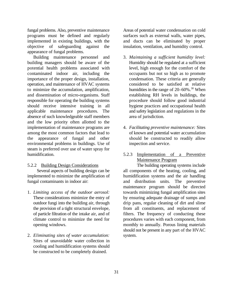fungal problems. Also, preventive maintenance Areas of potential water condensation on cold programs must be defined and regularly surfaces such as external walls, water pipes, implemented in existing buildings, with the and ducts can be eliminated by proper objective of safeguarding against the insulation, ventilation, and humidity control. appearance of fungal problems.

Building maintenance personnel and 3. *Maintaining a sufficient humidity level:* building managers should be aware of the Humidity should be regulated at a sufficient potential health problems associated with level, high enough for the comfort of the contaminated indoor air, including the occupants but not so high as to promote importance of the proper design, installation, condensation. These criteria are generally operation, and maintenance of HVAC systems considered to be satisfied at relative to minimize the accumulation, amplification, and dissemination of micro-organisms. Staff establishing RH levels in buildings, the responsible for operating the building systems procedure should follow good industrial should receive intensive training in all hygiene practices and occupational health applicable maintenance procedures. The and safety legislation and regulations in the absence of such knowledgeable staff members area of jurisdiction. and the low priority often allotted to the implementation of maintenance programs are 4. *Facilitating preventive maintenance:* Sites among the most common factors that lead to of known and potential water accumulation the appearance of fungal and other should be constructed to readily allow environmental problems in buildings. Use of inspection and service. steam is preferred over use of water spray for humidification. 5.2.3 Implementation of a Preventive

- 
- 2. *Eliminating sites of water accumulation:* system. Sites of unavoidable water collection in cooling and humidification systems should be constructed to be completely drained.

- humidities in the range of  $20-60\%$ .<sup>38</sup> When
- 
- Maintenance Program

5.2.2 Building Design Considerations The building operating systems include Several aspects of building design can be all components of the heating, cooling, and implemented to minimize the amplification of humidification systems and the air handling fungal contaminants in indoor air: and distribution units. The preventive 1. *Limiting access of the outdoor aerosol:* towards minimizing fungal amplification sites These considerations minimize the entry of by ensuring adequate drainage of sumps and outdoor fungi into the building air, through drip pans, regular cleaning of dirt and slime the provision of a tight structural envelope, from all constituents, and replacement of of particle filtration of the intake air, and of filters. The frequency of conducting these climate control to minimize the need for procedures varies with each component, from opening windows. monthly to annually. Porous lining materials maintenance program should be directed should not be present in any part of the HVAC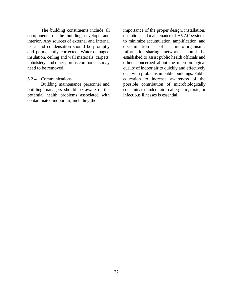components of the building envelope and interior. Any sources of external and internal to minimize accumulation, amplification, and leaks and condensation should be promptly dissemination of micro-organisms. and permanently corrected. Water-damaged Information-sharing networks should be insulation, ceiling and wall materials, carpets, established to assist public health officials and upholstery, and other porous components may others concerned about the microbiological need to be removed.

potential health problems associated with infectious illnesses is essential. contaminated indoor air, including the

The building constituents include all importance of the proper design, installation, nents of the building envelope and operation, and maintenance of HVAC systems quality of indoor air to quickly and effectively 5.2.4 Communications education to increase awareness of the Building maintenance personnel and possible contribution of microbiologically building managers should be aware of the contaminated indoor air to allergenic, toxic, or contaminated indoor air to allergenic, toxic, or deal with problems in public buildings. Public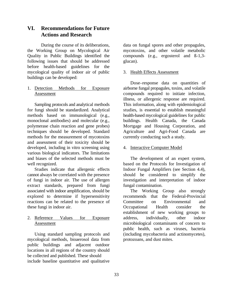## **VI. Recommendations for Future Actions and Research**

the Working Group on Mycological Air mycotoxins, and other volatile metabolic Quality in Public Buildings identified the compounds (e.g., ergosterol and ß-1,3 following issues that should be addressed glucan). before health-based guidelines for the mycological quality of indoor air of public 3. Health Effects Assessment buildings can be developed:

for fungi should be standardized. Analytical methods based on immunological (e.g., health-based mycological guidelines for public monoclonal antibodies) and molecular (e.g., buildings. Health Canada, the Canada polymerase chain reaction and gene probes) Mortgage and Housing Corporation, and techniques should be developed. Standard Agriculture and Agri-Food Canada are methods for the measurement of mycotoxins currently conducting such a study. and assessment of their toxicity should be developed, including in vitro screening using 4. Interactive Computer Model various biological indicators. The limitations and biases of the selected methods must be The development of an expert system, well recognized. based on the Protocols for Investigation of

cannot always be correlated with the presence should be considered to simplify the of fungi in indoor air. The use of allergen investigation and interpretation of indoor extract standards, prepared from fungi fungal contamination. associated with indoor amplification, should be The Working Group also strongly explored to determine if hypersensitivity recommends that the Federal-Provincial reactions can be related to the presence of Committee on Environmental and these fungi in indoor air. Occupational Health consider the

mycological methods, bioaerosol data from protozoans, and dust mites. public buildings and adjacent outdoor locations in all regions of the country should be collected and published. These should include baseline quantitative and qualitative

During the course of its deliberations, data on fungal spores and other propagules,

1. Detection Methods for Exposure airborne fungal propagules, toxins, and volatile Assessment compounds required to initiate infection, Sampling protocols and analytical methods<br>
This information, along with epidemiological<br>
fungi should be standardized. Analytical<br>
studies, is essential to establish meaningful Dose–response data on quantities of illness, or allergenic response are required.

Studies indicate that allergenic effects Indoor Fungal Amplifiers (see Section 4.4),

2. Reference Values for Exposure address, individually, other indoor Assessment microbiological contaminants of concern to Using standard sampling protocols and (including mycobacteria and actinomycetes), establishment of new working groups to public health, such as viruses, bacteria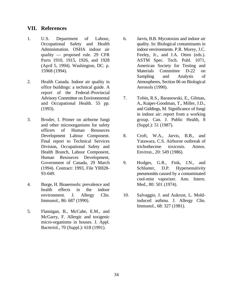# **VII. References**

- 
- office buildings: a technical guide. A Aerosols (1990). report of the Federal–Provincial
- and other microorganisms for safety (Suppl.): 51 (1987). officers of Human Resources Health Branch, Labour Component, Environ., 20: 549 (1986). Human Resources Development,
- 4. Burge, H. Bioaerosols: prevalence and Med., 80: 501 (1974). health effects in the indoor
- 5. Flannigan, B., McCabe, E.M., and McGarry, F. Allergic and toxigenic micro-organisms in houses. J. Appl. Bacteriol., 70 (Suppl.): 618 (1991).
- 1. U.S. Department of Labour, 6. Jarvis, B.B. Mycotoxins and indoor air Occupational Safety and Health quality. In: Biological contaminants in Administration. OSHA indoor air indoor environments. P.R. Morey, J.C. quality — proposed rule. 29 CFR Feeley, Jr., and J.A. Otten (eds.). Parts 1910, 1915, 1926, and 1928 ASTM Spec. Tech. Publ. 1071, (April 5, 1994). Washington, DC. p. American Society for Testing and 15968 (1994). Materials Committee D-22 on 2. Health Canada. Indoor air quality in Atmospheres, Section 06 on Biological Sampling and Analysis of
- Advisory Committee on Environmental 7. Tobin, R.S., Baranowski, E., Gilman, and Occupational Health. 55 pp. A., Kuiper-Goodman, T., Miller, J.D., (1993). and Giddings, M. Significance of fungi 3. Broder, I. Primer on airborne fungi group. Can. J. Public Health, 8 in indoor air: report from a working
	- Development Labour Component. 8. Croft, W.A., Jarvis, B.B., and Final report to Technical Services Yatawara, C.S. Airborne outbreak of Division, Occupational Safety and trichothecene toxicosis. Atmos.
	- Government of Canada, 29 March 9. Hodges, G.R., Fink, J.N., and (1994). Contract: 1993, File YR828- Schlueter, D.P. Hypersensitivity 93-049. pneumonitis caused by a contaminated cool-mist vaporizer. Ann. Intern.
	- environment. J. Allergy Clin. 10. Salvaggio, J. and Aukrust, L. Mold-Immunol., 86: 687 (1990). induced asthma. J. Allergy Clin. Immunol., 68: 327 (1981).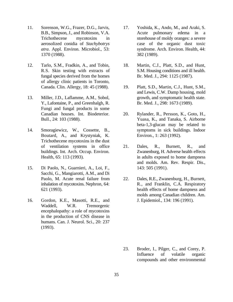- 11. Sorenson, W.G., Frazer, D.G., Jarvis, 17. Yoshida, K., Ando, M., and Araki, S. 1370 (1988). 382 (1989).
- of allergy clinic patients in Toronto, Canada. Clin. Allergy, 18: 45 (1988). 19. Platt, S.D., Martin, C.J., Hunt, S.M.,
- Fungi and fungal products in some
- Boutard, A., and Krystyniak, K. Environ., 1: 263 (1992). Trichothecene mycotoxins in the dust
- 15. Di Paolo, N., Guarnieri, A., Loi, F., 143: 505 (1991). Sacchi, G., Mangiarotti, A.M., and Di
- 16. Gordon, K.E., Masotti, R.E., and J. Epidemiol., 134: 196 (1991). Waddell, W.R. Tremorgenic encephalopathy: a role of mycotoxins in the production of CNS disease in humans. Can. J. Neurol. Sci., 20: 237 (1993).
- B.B., Simpson, J., and Robinson, V.A. Acute pulmonary edema in a Trichothecene mycotoxins in storehouse of moldy oranges: a severe aerosolized conidia of *Stachybotrys* case of the organic dust toxic *atra*. Appl. Environ. Microbiol., 53: syndrome. Arch. Environ. Health, 44:
- 12. Tarlo, S.M., Fradkin, A., and Tobin, 18. Martin, C.J., Platt, S.D., and Hunt, R.S. Skin testing with extracts of S.M. Housing conditions and ill health. fungal species derived from the homes Br. Med. J., 294: 1125 (1987).
- 13. Miller, J.D., Laflamme, A.M., Sobol, growth, and symptomatic health state. Y., Lafontaine, P., and Greenhalgh, R. Br. Med. J., 298: 1673 (1989). and Lewis, C.W. Damp housing, mold
- Canadian houses. Int. Biodeterior. 20. Rylander, R., Persson, K., Goto, H., Bull., 24: 103 (1988). Yuasa, K., and Tanaka, S. Airborne 14. Smoragiewicz, W., Cossette, B., symptoms in sick buildings. Indoor beta-1,3-glucan may be related to
	- of ventilation systems in office 21. Dales, R., Burnett, R., and buildings. Int. Arch. Occup. Environ. Zwanenburg, H. Adverse health effects Health, 65: 113 (1993). in adults exposed to home dampness and molds. Am. Rev. Respir. Dis.,
	- Paolo, M. Acute renal failure from 22. Dales, R.E., Zwanenburg, H., Burnett, inhalation of mycotoxins. Nephron, 64: R., and Franklin, C.A. Respiratory 621 (1993). health effects of home dampness and molds among Canadian children. Am.

23. Broder, I., Pilger, C., and Corey, P. Influence of volatile organic compounds and other environmental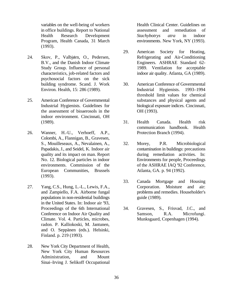in office buildings. Report to National assessment and remediation of Health Research Development *Stachybotrys atra* in indoor Program, Health Canada, 31 March environments. New York, NY (1993). (1993).

- psychosocial factors on the sick
- 25. American Conference of Governmental substances and physical agents and the assessment of bioaerosols in the OH (1993). indoor environment. Cincinnati, OH
- 26. Wanner, H.-U., Verhoeff, A.P., Protection Branch (1994). Colombi, A., Flannigan, B., Gravesen, European Communities, Brussels Atlanta, GA. p. 94 (1992). (1993).
- populations in non-residential buildings guide (1989). in the United States. In: Indoor air '93, radon. P. Kalliokoski, M. Jantunen, and O. Seppänen (eds.). Helsinki, Finland. p. 219 (1993).
- 28. New York City Department of Health, New York City Human Resources Administration, and Mount Sinai–Irving J. Selikoff Occupational

variables on the well-being of workers Health Clinical Center. Guidelines on

- 24. Skov, P., Valbjørn, O., Pedersen, Refrigerating and Air-Conditioning B.V., and the Danish Indoor Climate Engineers. ASHRAE Standard 62-Study Group. Influence of personal 1989. Ventilation for acceptable characteristics, job-related factors and indoor air quality. Atlanta, GA (1989). 29. American Society for Heating,
	- building syndrome. Scand. J. Work 30. American Conference of Governmental Environ. Health, 15: 286 (1989). Industrial Hygienists. 1993–1994 Industrial Hygienists. Guidelines for biological exposure indices. Cincinnati, threshold limit values for chemical
	- (1989). 31. Health Canada. Health risk communication handbook. Health
	- S., Mouilleseaux, A., Nevalainen, A., 32. Morey, P.R. Microbiological Papadakis, J., and Seidel, K. Indoor air contamination in buildings: precautions quality and its impact on man. Report during remediation activities. In: No. 12. Biological particles in indoor Environments for people, Proceedings environments. Commission of the of the ASHRAE IAQ '92 Conference,
- 27. Yang, C.S., Hung, L.-L., Lewis, F.A., Corporation. Moisture and air: and Zampiello, F.A. Airborne fungal problems and remedies. Householder's 33. Canada Mortgage and Housing
	- Proceedings of the 6th International 34. Gravesen, S., Frisvad, J.C., and Conference on Indoor Air Quality and Samson, R.A. Microfungi. Climate. Vol. 4. Particles, microbes, Munksgaard, Copenhagen (1994).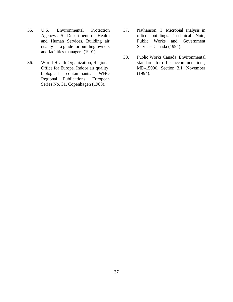- quality a guide for building owners Services Canada (1994). and facilities managers (1991).
- biological contaminants. WHO (1994). Regional Publications, European Series No. 31, Copenhagen (1988).
- 35. U.S. Environmental Protection 37. Nathanson, T. Microbial analysis in Agency/U.S. Department of Health office buildings. Technical Note, and Human Services. Building air Public Works and Government
- 36. World Health Organization, Regional standards for office accommodations, Office for Europe. Indoor air quality: MD-15000, Section 3.1, November 38. Public Works Canada. Environmental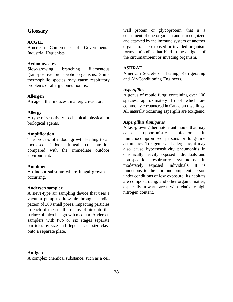### **Glossary**

### **ACGIH**

American Conference of Governmental Industrial Hygienists.

#### **Actinomycetes**

Slow-growing branching filamentous gram-positive procaryotic organisms. Some thermophilic species may cause respiratory problems or allergic pneumonitis.

#### **Allergen**

An agent that induces an allergic reaction.

#### **Allergy**

A type of sensitivity to chemical, physical, or biological agents.

#### **Amplification**

The process of indoor growth leading to an increased indoor fungal concentration compared with the immediate outdoor environment.

#### **Amplifier**

An indoor substrate where fungal growth is occurring.

#### **Andersen sampler**

A sieve-type air sampling device that uses a vacuum pump to draw air through a radial pattern of 300 small pores, impacting particles in each of the small streams of air onto the surface of microbial growth medium. Andersen samplers with two or six stages separate particles by size and deposit each size class onto a separate plate.

wall protein or glycoprotein, that is a constituent of one organism and is recognized and attacked by the immune system of another organism. The exposed or invaded organism forms antibodies that bind to the antigens of the circumambient or invading organism.

#### **ASHRAE**

American Society of Heating, Refrigerating and Air-Conditioning Engineers.

#### *Aspergillus*

A genus of mould fungi containing over 100 species, approximately 15 of which are commonly encountered in Canadian dwellings. All naturally occurring aspergilli are toxigenic.

#### *Aspergillus fumigatus*

A fast-growing thermotolerant mould that may cause opportunistic infection in immunocompromised persons or long-time asthmatics. Toxigenic and allergenic, it may also cause hypersensitivity pneumonitis in chronically heavily exposed individuals and non-specific respiratory symptoms in moderately exposed individuals. It is innocuous to the immunocompetent person under conditions of low exposure. Its habitats are compost, dung, and other organic matter, especially in warm areas with relatively high nitrogen content.

#### **Antigen**

A complex chemical substance, such as a cell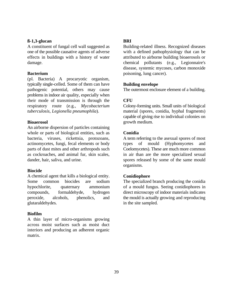#### **ß-1,3-glucan BRI**

A constituent of fungal cell wall suggested as Building-related illness. Recognized diseases one of the possible causative agents of adverse with a defined pathophysiology that can be effects in buildings with a history of water attributed to airborne building bioaerosols or

#### **Bacterium**

(pl. Bacteria) A procaryotic organism, typically single-celled. Some of them can have pathogenic potential, others may cause The outermost enclosure element of a building. problems in indoor air quality, especially when their mode of transmission is through the respiratory route (e.g., *Mycobacterium* Colony-forming units. Small units of biological *tuberculosis*, *Legionella pneumophila*). material (spores, conidia, hyphal fragments)

#### **Bioaerosol**

An airborne dispersion of particles containing whole or parts of biological entities, such as bacteria, viruses, rickettsia, protozoans, A term referring to the asexual spores of most actinomycetes, fungi, fecal elements or body types of mould (Hyphomycetes and parts of dust mites and other arthropods such Coelomycetes). These are much more common as cockroaches, and animal fur, skin scales, in air than are the more specialized sexual dander, hair, saliva, and urine. spores released by some of the same mould

#### **Biocide**

A chemical agent that kills a biological entity. Some common biocides are sodium The specialized branch producing the conidia hypochlorite, quaternary ammonium of a mould fungus. Seeing conidiophores in compounds, formaldehyde, hydrogen direct microscopy of indoor materials indicates peroxide, alcohols, phenolics, and the mould is actually growing and reproducing glutaraldehydes. in the site sampled.

### **Biofilm**

A thin layer of micro-organisms growing across moist surfaces such as moist duct interiors and producing an adherent organic matrix.

damage. chemical pollutants (e.g., Legionnaire's disease, systemic mycoses, carbon monoxide poisoning, lung cancer).

#### **Building envelope**

### **CFU**

capable of giving rise to individual colonies on growth medium.

#### **Conidia**

organisms.

#### **Conidiophore**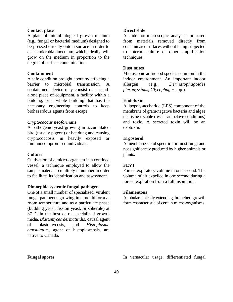#### **Contact plate Direct slide**

(e.g., fungal or bacterial medium) designed to from materials removed directly from be pressed directly onto a surface in order to contaminated surfaces without being subjected detect microbial inoculum, which, ideally, will to interim culture or other amplification grow on the medium in proportion to the techniques. degree of surface contamination.

#### **Containment**

barrier to microbial transmission. A allergen (e.g., *Dermatophagoides* containment device may consist of a stand- *pteronyssinus*, *Glycophagus* spp.). alone piece of equipment, a facility within a building, or a whole building that has the necessary engineering controls to keep A lipopolysaccharide (LPS) component of the biohazardous agents from escape. membrane of gram-negative bacteria and algae

#### *Cryptococcus neoformans*

A pathogenic yeast growing in accumulated exotoxin. bird (usually pigeon) or bat dung and causing cryptococcosis in heavily exposed or immunocompromised individuals. A membrane sterol specific for most fungi and

#### **Culture**

Cultivation of a micro-organism in a confined vessel: a technique employed to allow the sample material to multiply in number in order Forced expiratory volume in one second. The to facilitate its identification and assessment. volume of air expelled in one second during a

#### **Dimorphic systemic fungal pathogen**

One of a small number of specialized, virulent fungal pathogens growing in a mould form at A tubular, apically extending, branched growth room temperature and as a particulate phase form characteristic of certain micro-organisms. (budding yeast, fission yeast, or spherule) at  $37^{\circ}$ C in the host or on specialized growth media. *Blastomyces dermatitidis*, causal agent of blastomycosis, and *Histoplasma capsulatum*, agent of histoplasmosis, are native to Canada.

A plate of microbiological growth medium A slide for microscopic analyses: prepared

#### **Dust mites**

A safe condition brought about by effecting a indoor environment. An important indoor Microscopic arthropod species common in the

### **Endotoxin**

that is heat stable (resists autoclave conditions) and toxic. A secreted toxin will be an

#### **Ergosterol**

not significantly produced by higher animals or plants.

#### **FEV1**

forced expiration from a full inspiration.

#### **Filamentous**

**Fungal spores** In vernacular usage, differentiated fungal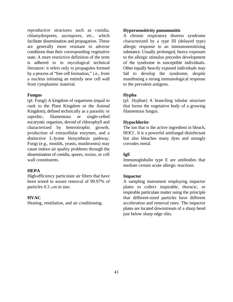reproductive structures such as conidia, chlamydospores, ascospores, etc., which A chronic respiratory distress syndrome facilitate dissemination and propagation. These characterized by a type III (delayed type) are generally more resistant to adverse allergic response to an immunosensitizing conditions than their corresponding vegetative substance. Usually prolonged, heavy exposure state. A more restrictive definition of the term to the allergic stimulus precedes development is adhered to in mycological technical of the syndrome in susceptible individuals. literature: it refers only to propagules formed Other equally heavily exposed individuals may by a process of "free cell formation," i.e., from fail to develop the syndrome, despite a nucleus initiating an entirely new cell wall manifesting a strong immunological response from cytoplasmic material. to the prevalent antigens.

### **Fungus Hypha**

(pl. Fungi) A kingdom of organisms (equal in (pl. Hyphae) A branching tubular structure rank to the Plant Kingdom or the Animal that forms the vegetative body of a growing Kingdom), defined technically as a parasitic or filamentous fungus. saprobic, filamentous or single-celled eucaryotic organism, devoid of chlorophyll and characterized by heterotrophic growth, The ion that is the active ingredient in bleach, production of extracellular enzymes, and a distinctive L-lysine biosynthesis pathway. but also bleaches many dyes and strongly Fungi (e.g., moulds, yeasts, mushrooms) may corrodes metal. cause indoor air quality problems through the dissemination of conidia, spores, toxins, or cell wall constituents. Immunoglobulin type E are antibodies that

#### **HEPA**

High-efficiency particulate air filters that have been tested to assure removal of 99.97% of A sampling instrument employing impactor particles  $0.3 \mu m$  in size. plates to collect inspirable, thoracic, or

### **HVAC**

#### **Hypersensitivity pneumonitis**

#### **Hypochlorite**

HOCl<sup>-</sup>. It is a powerful antifungal disinfectant

#### **IgE**

mediate certain acute allergic reactions.

#### **Impactor**

Heating, ventilation, and air conditioning. acceleration and removal rates. The impactor respirable particulate matter using the principle that different-sized particles have different plates are located downstream of a sharp bend just below sharp edge slits.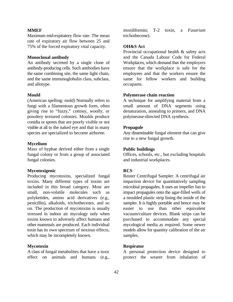#### **MMEF**

Maximum mid-expiratory flow rate. The mean trichothecene). rate of expiratory air flow between 25 and 75% of the forced expiratory vital capacity.

#### **Monoclonal antibody**

and allotype.  $\qquad \qquad \text{occupants.}$ 

(American spelling: mold) Normally refers to A technique for amplifying material from a fungi with a filamentous growth form, often small amount of DNA segments using giving rise to "fuzzy," cottony, woolly, or denaturation, annealing to primers, and DNA powdery textured colonies. Moulds produce polymerase-directed DNA synthesis. conidia or spores that are poorly visible or not visible at all to the naked eye and that in many species are specialized to become airborne. Any disseminable fungal element that can give

#### **Mycelium**

Mass of hyphae derived either from a single fungal colony or from a group of associated Offices, schools, etc., but excluding hospitals fungal colonies.  $\qquad \qquad \text{and industrial workplaces.}$ 

#### **Mycotoxigenic RCS**

toxins. Many different types of toxins are impaction device for quantitatively sampling included in this broad category. Most are microbial propagules. It uses an impeller fan to small, non-volatile molecules such as impact propagules onto the agar-filled wells of polyketides, amino acid derivatives (e.g., a moulded plastic strip lining the inside of the penicillin), alkaloids, trichothecenes, and so sampler. It is highly portable and hence may be on. The production of mycotoxins is usually easier to use than other equivalent stressed in indoor air mycology only when vacuum/culture devices. Blank strips can be toxins known to adversely affect humans and purchased to accommodate any special other mammals are produced. Each individual mycological media as required. Some newer toxin has its own spectrum of noxious effects, models allow for quantity calibration of the air which may be incompletely known. samples.

#### **Mycotoxin Respirator**

A class of fungal metabolites that have a toxic A personal protection device designed to effect on animals and humans (e.g., protect the wearer from inhalation of

moniliformin; T-2 toxin, a *Fusarium*

#### **OH&S Act**

An antibody secreted by a single clone of Workplaces, which demand that the employers antibody-producing cells. Such antibodies have ensure that the workplace is safe for the the same combining site, the same light chain, employees and that the workers ensure the and the same immunoglobulin class, subclass, same for fellow workers and building Provincial occupational health & safety acts and the Canada Labour Code for Federal

#### **Mould Polymerase chain reaction**

#### **Propagule**

rise to a new fungal growth.

#### **Public buildings**

Producing mycotoxins, specialized fungal Reuter Centrifugal Sampler. A centrifugal air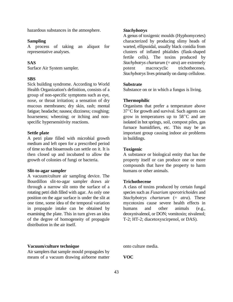hazardous substances in the atmosphere.

### **Sampling**

representative analyses. clusters of inflated phialides (flask-shaped

### **SAS**

#### **SBS**

Sick building syndrome. According to World Health Organization's definition, consists of a Substance on or in which a fungus is living. group of non-specific symptoms such as eye, nose, or throat irritation; a sensation of dry mucous membranes; dry skin, rash; mental Organisms that prefer a temperature above fatigue; headache; nausea; dizziness; coughing;  $37^{\circ}$ C for growth and survival. Such agents can hoarseness; wheezing; or itching and non- grow in temperatures up to  $58^{\circ}$ C and are specific hypersensitivity reactions. isolated in hot springs, soil, compost piles, gas

#### **Settle plate**

A petri plate filled with microbial growth in buildings. medium and left open for a prescribed period of time so that bioaerosols can settle on it. It is then closed up and incubated to allow the A substance or biological entity that has the growth of colonies of fungi or bacteria. property itself or can produce one or more

#### **Slit-to-agar sampler**

A vacuum/culture air sampling device. The Bourdillon slit-to-agar sampler draws air through a narrow slit onto the surface of a A class of toxins produced by certain fungal rotating petri dish filled with agar. As only one species such as *Fusarium sporotrichoides* and position on the agar surface is under the slit at *Stachybotrys chartarum* (= *atra*). These one time, some idea of the temporal variation mycotoxins cause severe health effects in in propagule intake can be obtained by humans and other animals (e.g., examining the plate. This in turn gives an idea deoxynivalenol, or DON; vomitoxin; nivalenol; of the degree of homogeneity of propagule T-2; HT-2; diacetoxyscirpenol, or DAS). distribution in the air itself.

#### **Vacuum/culture technique**

Air samplers that sample mould propagules by means of a vacuum drawing airborne matter

#### *Stachybotrys*

A process of taking an aliquot for warted, ellipsoidal, usually black conidia from Surface Air System sampler. potent macrocyclic trichothecenes. A genus of toxigenic moulds (Hyphomycetes) characterized by producing slimy heads of fertile cells). The toxins produced by *Stachybotrys chartarum* (= *atra*) are extremely *Stachybotrys* lives primarily on damp cellulose.

### **Substrate**

#### **Thermophilic**

furnace humidifiers, etc. This may be an important group causing indoor air problems

#### **Toxigenic**

compounds that have the property to harm humans or other animals.

#### **Trichothecene**

Stachybotrys chartarum (= *atra*). These

onto culture media.

**VOC**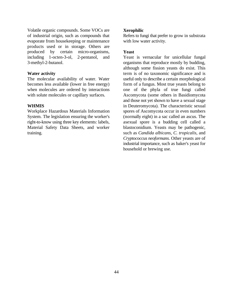Volatile organic compounds. Some VOCs are of industrial origin, such as compounds that Refers to fungi that prefer to grow in substrata evaporate from housekeeping or maintenance with low water activity. products used or in storage. Others are produced by certain micro-organisms, including 1-octen-3-ol, 2-pentanol, and Yeast is vernacular for unicellular fungal 3-methyl-2-butanol. organisms that reproduce mostly by budding,

#### **Water activity**

#### **WHMIS**

#### **Xerophilic**

### **Yeast**

The molecular availability of water. Water useful only to describe a certain morphological becomes less available (lower in free energy) form of a fungus. Most true yeasts belong to when molecules are ordered by interactions one of the phyla of true fungi called with solute molecules or capillary surfaces. Ascomycota (some others in Basidiomycota Workplace Hazardous Materials Information spores of Ascomycota occur in even numbers System. The legislation ensuring the worker's (normally eight) in a sac called an ascus. The right-to-know using three key elements: labels, asexual spore is a budding cell called a Material Safety Data Sheets, and worker blastoconidium. Yeasts may be pathogenic, training. such as *Candida albicans*, *C. tropicalis*, and although some fission yeasts do exist. This term is of no taxonomic significance and is and those not yet shown to have a sexual stage in Deuteromycota). The characteristic sexual *Cryptococcus neoformans*. Other yeasts are of industrial importance, such as baker's yeast for household or brewing use.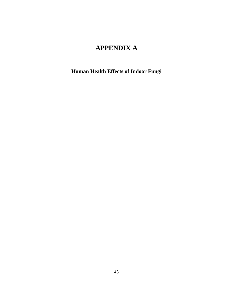# **APPENDIX A**

**Human Health Effects of Indoor Fungi**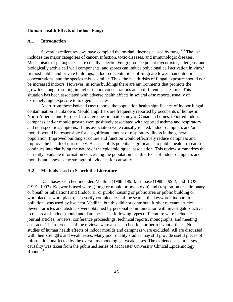#### **Human Health Effects of Indoor Fungi**

#### **A.1 Introduction**

Several excellent reviews have compiled the myriad illnesses caused by fungi.<sup>1–5</sup> The list includes the major categories of cancer, infection, toxic diseases, and immunologic diseases. Mechanisms of pathogenesis are equally eclectic. Fungi produce potent mycotoxins, allergens, and biologically active cell wall components, and spores can induce polyclonal cell activation in vitro.<sup>1</sup> In most public and private buildings, indoor concentrations of fungi are lower than outdoor concentrations, and the species mix is similar. Thus, the health risks of fungal exposure should not be increased indoors. However, in some buildings there are environments that promote the growth of fungi, resulting in higher indoor concentrations and a different species mix. This situation has been associated with adverse health effects in several case reports, usually of extremely high exposure to toxigenic species.

Apart from these isolated case reports, the population health significance of indoor fungal contamination is unknown. Mould amplifiers are frequently reported by occupants of homes in North America and Europe. In a large questionnaire study of Canadian homes, reported indoor dampness and/or mould growth were positively associated with reported asthma and respiratory and non-specific symptoms. If this association were causally related, indoor dampness and/or moulds would be responsible for a significant amount of respiratory illness in the general population. Improved building structure and function would effectively reduce dampness and improve the health of our society. Because of its potential significance to public health, research continues into clarifying the nature of the epidemiological association. This review summarizes the currently available information concerning the population health effects of indoor dampness and moulds and assesses the strength of evidence for causality.

#### **A.2 Methods Used to Search the Literature**

Data bases searched included Medline (1988–1993), Embase (1988–1993), and BIOS (1991–1993). Keywords used were [(fungi or mould or mycotoxin) and (respiration or pulmonary or breath or inhalation) and (indoor air or public housing or public area or public building or workplace or work place)]. To verify completeness of the search, the keyword "indoor air pollution" was used by itself for Medline, but this did not contribute further relevant articles. Several articles and abstracts were obtained by personal communication with investigators active in the area of indoor mould and dampness. The following types of literature were included: journal articles, reviews, conference proceedings, technical reports, monographs, and meeting abstracts. The references of the reviews were also searched for further relevant articles. No studies of human health effects of indoor moulds and dampness were excluded. All are discussed with their strengths and weaknesses. Many poor quality studies may still provide useful pieces of information unaffected by the overall methodological weaknesses. The evidence used to assess causality was taken from the published series of McMaster University Clinical Epidemiology Rounds.<sup>6</sup>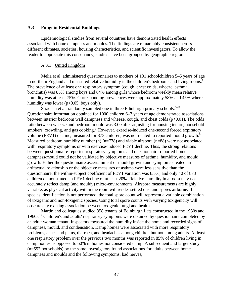#### **A.3 Fungi in Residential Buildings**

Epidemiological studies from several countries have demonstrated health effects associated with home dampness and moulds. The findings are remarkably consistent across different climates, societies, housing characteristics, and scientific investigators. To allow the reader to appreciate this consonancy, studies have been grouped by geographic region.

#### A.3.1 United Kingdom

Melia et al. administered questionnaires to mothers of 191 schoolchildren 5–6 years of age in northern England and measured relative humidity in the children's bedrooms and living rooms.<sup>7</sup> The prevalence of at least one respiratory symptom (cough, chest colds, wheeze, asthma, bronchitis) was 85% among boys and 64% among girls whose bedroom weekly mean relative humidity was at least 75%. Corresponding prevalences were approximately 58% and 45% where humidity was lower ( $p<0.05$ , boys only).

Strachan et al. randomly sampled one in three Edinburgh primary schools. $8-11$ Questionnaire information obtained for 1000 children 6–7 years of age demonstrated associations between interior bedroom wall dampness and wheeze, cough, and chest colds  $(p<0.01)$ . The odds ratio between wheeze and bedroom mould was 3.00 after adjusting for housing tenure, household smokers, crowding, and gas cooking.<sup>8</sup> However, exercise-induced one-second forced expiratory volume (FEV1) decline, measured for 873 children, was not related to reported mould growth.<sup>8</sup> Measured bedroom humidity number (n)  $(n=778)$  and viable airspora  $(n=88)$  were not associated with respiratory symptoms or with exercise-induced FEV1 decline. Thus, the strong relations between questionnaire-reported respiratory symptoms and questionnaire-reported home dampness/mould could not be validated by objective measures of asthma, humidity, and mould growth. Either the questionnaire ascertainment of mould growth and symptoms created an artifactual relationship or the objective measures of asthma were less sensitive than the questionnaire: the within-subject coefficient of FEV1 variation was 8.5%, and only 40 of 873 children demonstrated an FEV1 decline of at least 20%. Relative humidity in a room may not accurately reflect damp (and mouldy) micro-environments. Airspora measurements are highly variable, as physical activity within the room will render settled dust and spores airborne. If species identification is not performed, the total spore count will represent a variable combination of toxigenic and non-toxigenic species. Using total spore counts with varying toxigenicity will obscure any existing association between toxigenic fungi and health.

Martin and colleagues studied 358 tenants of Edinburgh flats constructed in the 1930s and  $1960s$ .<sup>12</sup> Children's and adults' respiratory symptoms were obtained by questionnaire completed by an adult woman tenant. Inspectors measured the humidity inside the home and recorded signs of dampness, mould, and condensation. Damp homes were associated with more respiratory problems, aches and pains, diarrhea, and headaches among children but not among adults. At least one respiratory problem over the previous two months was reported in 85% of children living in damp homes as opposed to 60% in homes not considered damp. A subsequent and larger study (n=597 households) by the same investigators found associations for adults between home dampness and moulds and the following symptoms: bad nerves,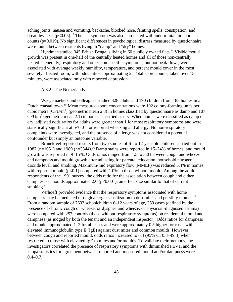aching joints, nausea and vomiting, backache, blocked nose, fainting spells, constipation, and breathlessness ( $p<0.05$ ).<sup>13</sup> The last symptom was also associated with indoor total air spore counts (p=0.019). No significant differences in psychological distress measured by questionnaire were found between residents living in "damp" and "dry" homes.

Hyndman studied 345 British Bengalis living in 60 publicly owned flats.<sup>14</sup> Visible mould growth was present in one-half of the centrally heated homes and all of those non-centrally heated. Generally, respiratory and other non-specific symptoms, but not peak flows, were associated with average weekly humidity, temperature, and percent mould cover in the most severely affected room, with odds ratios approximating 2. Total spore counts, taken over 15 minutes, were associated only with reported depression.

#### A.3.2 The Netherlands

Waegemaekers and colleagues studied 328 adults and 190 children from 185 homes in a Dutch coastal town.<sup>15</sup> Mean measured spore concentrations were 192 colony-forming units per cubic metre (CFU/m<sup>3</sup>) (geometric mean 2.8) in homes classified by questionnaire as damp and 107  $CFU/m<sup>3</sup>$  (geometric mean 2.1) in homes classified as dry. When homes were classified as damp or dry, adjusted odds ratios for adults were greater than 1 for most respiratory symptoms and were statistically significant at  $p<0.01$  for reported wheezing and allergy. No non-respiratory complaints were investigated, and the presence of allergy was not considered a potential confounder but simply an outcome variable.

Brunekreef reported results from two studies of 6- to 12-year-old children carried out in 1987 (n=1051) and 1989 (n=3344).<sup>16</sup> Damp stains were reported in 15–24% of homes, and mould growth was reported in 9–15%. Odds ratios ranged from 1.5 to 3.0 between cough and wheeze and dampness and mould growth after adjusting for parental education, household nitrogen dioxide level, and smoking. Maximum-mid expiratory flow (MMEF) was reduced 5.4% in homes with reported mould  $(p<0.1)$  compared with 1.0% in those without mould. Among the adult respondents of the 1991 survey, the odds ratio for the association between cough and either dampness or moulds approximated 2.0 ( $p<0.001$ ), an effect size similar to that of current smoking.<sup>17</sup>

Verhoeff provided evidence that the respiratory symptoms associated with home dampness may be mediated through allergic sensitization to dust mites and possibly moulds.<sup>18</sup> From a random sample of 7632 schoolchildren 6–12 years of age, 259 cases (defined by the presence of chronic cough or wheeze, or dyspnea and wheeze, or physician-diagnosed asthma) were compared with 257 controls (those without respiratory symptoms) on residential mould and dampness (as judged by both the tenant and an independent inspector). Odds ratios for dampness and mould approximated 1–2 for all cases and were approximately 0.5 higher for cases with elevated immunoglobulin type E (IgE) against dust mites and common moulds. However, between cough and reported mould, odds ratios increased to 6.4 (95% CI 0.8–49.3) when restricted to those with elevated IgE to mites and/or moulds. To validate their methods, the investigators correlated the presence of respiratory symptoms with diminished FEV1, and the kappa statistics for agreement between reported and measured mould and/or dampness were  $0.4 - 0.7$ .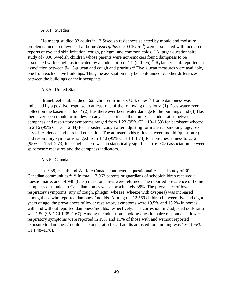#### A.3.4 Sweden

Holmberg studied 33 adults in 13 Swedish residences selected by mould and moisture problems. Increased levels of airborne *Aspergillus* (>50 CFU/m<sup>3</sup>) were associated with increased reports of eye and skin irritation, cough, phlegm, and common colds.<sup>19</sup> A larger questionnaire study of 4990 Swedish children whose parents were non-smokers found dampness to be associated with cough, as indicated by an odds ratio of 1.9 ( $p<0.05$ ).<sup>20</sup> Rylander et al. reported an association between  $\beta$ -1,3-glucan and cough and pruritus.<sup>21</sup> Five glucan measures were available, one from each of five buildings. Thus, the association may be confounded by other differences between the buildings or their occupants.

#### A.3.5 United States

Brunekreef et al. studied  $4625$  children from six U.S. cities.<sup>22</sup> Home dampness was indicated by a positive response to at least one of the following questions: (1) Does water ever collect on the basement floor? (2) Has there ever been water damage to the building? and (3) Has there ever been mould or mildew on any surface inside the home? The odds ratios between dampness and respiratory symptoms ranged from 1.23 (95% CI 1.10–1.39) for persistent wheeze to 2.16 (95% CI 1.64–2.84) for persistent cough after adjusting for maternal smoking, age, sex, city of residence, and parental education. The adjusted odds ratios between mould (question 3) and respiratory symptoms ranged from 1.40 (95% CI 1.13–1.74) for non-chest illness to 2.12 (95% CI 1.64–2.73) for cough. There was no statistically significant ( $p<0.05$ ) association between spirometric measures and the dampness indicators.

#### A.3.6 Canada

In 1988, Health and Welfare Canada conducted a questionnaire-based study of 30 Canadian communities.  $2^{3-25}$  In total, 17 962 parents or guardians of schoolchildren received a questionnaire, and 14 948 (83%) questionnaires were returned. The reported prevalence of home dampness or moulds in Canadian homes was approximately 38%. The prevalence of lower respiratory symptoms (any of cough, phlegm, wheeze, wheeze with dyspnea) was increased among those who reported dampness/moulds. Among the 12 569 children between five and eight years of age, the prevalences of lower respiratory symptoms were 19.5% and 13.2% in homes with and without reported dampness/moulds, respectively. The corresponding adjusted odds ratio was 1.50 (95% CI 1.35–1.67). Among the adult non-smoking questionnaire respondents, lower respiratory symptoms were reported in 19% and 11% of those with and without reported exposure to dampness/mould. The odds ratio for all adults adjusted for smoking was 1.62 (95% CI 1.48–1.78).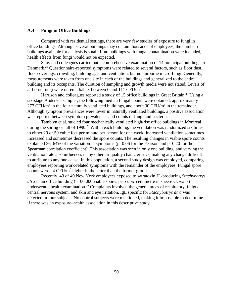#### **A.4 Fungi in Office Buildings**

Compared with residential settings, there are very few studies of exposure to fungi in office buildings. Although several buildings may contain thousands of employees, the number of buildings available for analysis is small. If no buildings with fungal contamination were included, health effects from fungi would not be expected.

Skov and colleagues carried out a comprehensive examination of 14 municipal buildings in Denmark.<sup>26</sup> Questionnaire-reported symptoms were related to several factors, such as floor dust, floor coverings, crowding, building age, and ventilation, but not airborne micro-fungi. Generally, measurements were taken from one site in each of the buildings and generalized to the entire building and its occupants. The duration of sampling and growth media were not stated. Levels of airborne fungi were unremarkable, between 0 and  $111 \text{ CFU/m}^3$ .

Harrison and colleagues reported a study of 15 office buildings in Great Britain.<sup>27</sup> Using a six-stage Andersen sampler, the following median fungal counts were obtained: approximately 277 CFU/m<sup>3</sup> in the four naturally ventilated buildings, and about 30 CFU/m<sup>3</sup> in the remainder. Although symptom prevalences were lower in naturally ventilated buildings, a positive association was reported between symptom prevalences and counts of fungi and bacteria.

Tamblyn et al. studied four mechanically ventilated high-rise office buildings in Montreal during the spring or fall of 1990.<sup>28</sup> Within each building, the ventilation was randomized six times to either 20 or 50 cubic feet per minute per person for one week. Increased ventilation sometimes increased and sometimes decreased the spore counts. The resulting changes in viable spore counts explained 36–64% of the variation in symptoms (p=0.06 for the Pearson and p=0.20 for the Spearman correlation coefficient). This association was seen in only one building, and varying the ventilation rate also influences many other air quality characteristics, making any change difficult to attribute to any one cause. In this population, a second study design was employed, comparing employees reporting work-related symptoms with the remainder of the employees. Fungal spore counts were  $24 \text{ CFU/m}^3$  higher in the latter than the former group.

Recently, 43 of 49 New York employees exposed to satratoxin H.-producing *Stachybotrys atra* in an office building (>100 000 viable spores per cubic centimetre in sheetrock walls) underwent a health examination.<sup>29</sup> Complaints involved the general areas of respiratory, fatigue, central nervous system, and skin and eye irritation. IgE specific for *Stachybotrys atra* was detected in four subjects. No control subjects were mentioned, making it impossible to determine if there was an exposure–health association in this descriptive study.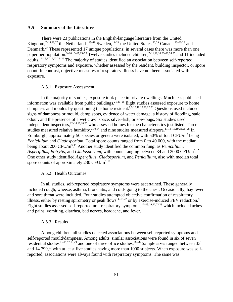#### **A.5 Summary of the Literature**

There were 23 publications in the English-language literature from the United Kingdom,<sup>7-14,26,27</sup> the Netherlands, <sup>15-18</sup> Sweden, <sup>19-21</sup> the United States, <sup>22,29</sup> Canada, <sup>23-25,28</sup> and Denmark.<sup>27</sup> These represented 17 unique populations; in several cases there was more than one paper per population.  $9-10,16-17,23-25$  Twelve studies included children,  $7-11,16,18,20-22,24,25$  and 11 included adults.  $12-15,17,19,23,26-29$  The majority of studies identified an association between self-reported respiratory symptoms and exposure, whether assessed by the resident, building inspector, or spore count. In contrast, objective measures of respiratory illness have not been associated with exposure.

#### A.5.1 Exposure Assessment

In the majority of studies, exposure took place in private dwellings. Much less published information was available from public buildings.  $^{21,26-28}$  Eight studies assessed exposure to home dampness and moulds by questioning the home resident.  $\frac{8,9,15,16,18,20,22,23}{8}$  Questions used included signs of dampness or mould, damp spots, evidence of water damage, a history of flooding, stale odour, and the presence of a wet crawl space, silver-fish, or sow-bugs. Six studies used independent inspectors,  $12-14,16,18,20$  who assessed homes for the characteristics just listed. Three studies measured relative humidity,  $^{7,10,14}$  and nine studies measured airspora.<sup>11,13–15,19,21,26–28</sup> In Edinburgh, approximately 50 species or genera were isolated, with 50% of total CFU/ $m<sup>3</sup>$  being *Penicillium* and *Cladosporium*. Total spore counts ranged from 0 to 40 000, with the median being about 200 CFU/m<sup>3</sup>.<sup>11</sup> Another study identified the common fungi as *Penicillium*, Aspergillus, Botrytis, and *Cladosporium*, with counts ranging between 34 and 2000 CFU/m<sup>3</sup>.<sup>15</sup> One other study identified *Aspergillus*, *Cladosporium*, and *Penicillium*, also with median total spore counts of approximately 230 CFU/ $m<sup>3,19</sup>$ 

#### A.5.2 Health Outcomes

In all studies, self-reported respiratory symptoms were ascertained. These generally included cough, wheeze, asthma, bronchitis, and colds going to the chest. Occasionally, hay fever and sore throat were included. Four studies attempted objective confirmation of respiratory illness, either by resting spirometry or peak flows  $\frac{1}{4}$ –16,22 or by exercise-induced FEV reduction.<sup>9</sup> Eight studies assessed self-reported non-respiratory symptoms, $12-15,19,22,23,28$  which included aches and pains, vomiting, diarrhea, bad nerves, headache, and fever.

#### A.5.3 Results

Among children, all studies detected associations between self-reported symptoms and self-reported mould/dampness. Among adults, similar associations were found in six of seven residential studies<sup>13–15,17,19,23</sup> and one of three office studies.<sup>26–28</sup> Sample sizes ranged between 33<sup>18</sup> and 14 799, $^{23}$  with at least five studies having more than 1000 subjects. When exposure was selfreported, associations were always found with respiratory symptoms. The same was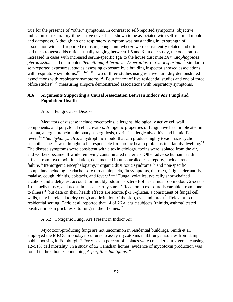true for the presence of "other" symptoms. In contrast to self-reported symptoms, objective indicators of respiratory illness have never been shown to be associated with self-reported mould and dampness. Although no one respiratory symptom was outstanding in its strength of association with self-reported exposure, cough and wheeze were consistently related and often had the strongest odds ratios, usually ranging between 1.5 and 3. In one study, the odds ratios increased in cases with increased serum-specific IgE to the house dust mite *Dermatophagoides pteronyssinus* and the moulds *Penicillium, Alternaria, Aspergillus, or Cladosporium.*<sup>18</sup> Similar to self-reported exposures, studies assessing exposure by a building inspector showed associations with respiratory symptoms.  $12,13,14,16,18$  Two of three studies using relative humidity demonstrated associations with respiratory symptoms.<sup>7,14</sup> Four<sup>13,15,19,21</sup> of five residential studies and one of three office studies $26-28$  measuring airspora demonstrated associations with respiratory symptoms.

### **A.6 Arguments Supporting a Causal Association Between Indoor Air Fungi and Population Health**

### A.6.1 Fungi Cause Disease

Mediators of disease include mycotoxins, allergens, biologically active cell wall components, and polyclonal cell activators. Antigenic properties of fungi have been implicated in asthma, allergic bronchopulmonary aspergillosis, extrinsic allergic alveolitis, and humidifier fever.<sup>30–34</sup> Stachybotrys atra, a hydrophilic mould that can produce highly toxic macrocyclic trichothecenes,  $33$  was thought to be responsible for chronic health problems in a family dwelling.  $34$ The disease symptoms were consistent with a toxin etiology, toxins were isolated from the air, and workers became ill while removing contaminated materials. Other adverse human health effects from mycotoxin inhalation, documented in uncontrolled case reports, include renal failure,<sup>35</sup> tremorgenic encephalopathy,<sup>36</sup> organic dust toxic syndrome,<sup>37</sup> and non-specific complaints including headache, sore throat, alopecia, flu symptoms, diarrhea, fatigue, dermatitis, malaise, cough, rhinitis, epistaxis, and fever.  $12,13,34$  Fungal volatiles, typically short-chained alcohols and aldehydes, account for mouldy odour: 1-octen-3-ol has a mushroom odour, 2-octen-1-ol smells musty, and geosmin has an earthy smell.<sup>1</sup> Reaction to exposure is variable, from none to illness,  $38$  but data on their health effects are scarce.  $\beta$ -1,3-glucan, a constituent of fungal cell walls, may be related to dry cough and irritation of the skin, eye, and throat.<sup>21</sup> Relevant to the residential setting, Tarlo et al. reported that 14 of 26 allergic subjects (rhinitis, asthma) tested positive, in skin prick tests, to fungi in their homes. $32$ 

#### A.6.2 Toxigenic Fungi Are Present in Indoor Air

Mycotoxin-producing fungi are not uncommon in residential buildings. Smith et al. employed the MRC-5 monolayer cultures to assay mycotoxins in 83 fungal isolates from damp public housing in Edinburgh.<sup>39</sup> Forty-seven percent of isolates were considered toxigenic, causing 12–51% cell mortality. In a study of 52 Canadian homes, evidence of mycotoxin production was found in three homes containing *Aspergillus fumigatus*. 40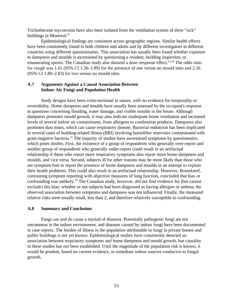Trichothecene mycotoxins have also been isolated from the ventilation system of three "sick" buildings in Montreal.<sup>41</sup>

Epidemiological findings are consistent across geographic regions. Similar health effects have been consistently found in both children and adults and by different investigators in different countries using different questionnaires. This association has usually been found whether exposure to dampness and moulds is ascertained by questioning a resident, building inspection, or enumerating spores. The Canadian study also showed a dose–response effect.<sup>23,24</sup> The odds ratio for cough was 1.61 (95% CI 1.36–1.89) for the presence of one versus no mould sites and 2.26 (95% CI 1.80–2.83) for two versus no mould sites.

### **A.7 Arguments Against a Causal Association Between Indoor Air Fungi and Population Health**

Study designs have been cross-sectional in nature, with no evidence for temporality or reversibility. Home dampness and moulds have usually been assessed by the occupant's response to questions concerning flooding, water damage, and visible moulds in the house. Although dampness promotes mould growth, it may also indicate inadequate home ventilation and increased levels of several indoor air contaminants, from allergens to combustion products. Dampness also promotes dust mites, which can cause respiratory disease. Bacterial endotoxin has been implicated in several cases of building-related illness (BRI) involving humidifier reservoirs contaminated with gram-negative bacteria.<sup>31</sup> The majority of studies have ascertained symptoms by questionnaire, which poses doubts. First, the existence of a group of respondents who generally over-report and another group of respondents who generally under-report could result in an artifactual relationship if those who report more respiratory symptoms also report more home dampness and moulds, and vice versa. Second, subjects ill for other reasons may be more likely than those who are symptom-free to report the presence of home dampness and moulds in an attempt to explain their health problems. This could also result in an artifactual relationship. However, Brunekreef, contrasting symptom reporting with objective measures of lung function, concluded that bias or confounding was unlikely.<sup>16</sup> The Canadian study, however, did not find evidence for (but cannot exclude) this bias; whether or not subjects had been diagnosed as having allergies or asthma, the observed association between symptoms and dampness was not influenced. Finally, the measured relative risks were usually small, less than 2, and therefore relatively susceptible to confounding.

### **A.8 Summary and Conclusion**

Fungi can and do cause a myriad of diseases. Potentially pathogenic fungi are not uncommon in the indoor environment, and diseases caused by indoor fungi have been documented in case reports. The burden of illness in the population attributable to fungi in private homes and public buildings is not yet known. Epidemiological studies have consistently detected an association between respiratory symptoms and home dampness and mould growth, but causality in these studies has not been established. Until the magnitude of the population risk is known, it would be prudent, based on current evidence, to remediate indoor sources conducive to fungal growth.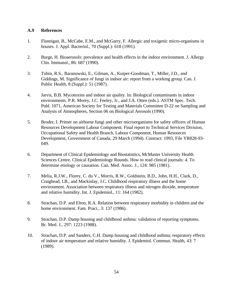### **A.9 References**

- 1. Flannigan, B., McCabe, E.M., and McGarry, F. Allergic and toxigenic micro-organisms in houses. J. Appl. Bacteriol., 70 (Suppl.): 618 (1991).
- 2. Burge, H. Bioaerosols: prevalence and health effects in the indoor environment. J. Allergy Clin. Immunol., 86: 687 (1990).
- 3. Tobin, R.S., Baranowski, E., Gilman, A., Kuiper-Goodman, T., Miller, J.D., and Giddings, M. Significance of fungi in indoor air: report from a working group. Can. J. Public Health, 8 (Suppl.): 51 (1987).
- 4. Jarvis, B.B. Mycotoxins and indoor air quality. In: Biological contaminants in indoor environments. P.R. Morey, J.C. Feeley, Jr., and J.A. Otten (eds.). ASTM Spec. Tech. Publ. 1071, American Society for Testing and Materials Committee D-22 on Sampling and Analysis of Atmospheres, Section 06 on Biological Aerosols (1990).
- 5. Broder, I. Primer on airborne fungi and other microorganisms for safety officers of Human Resources Development Labour Component. Final report to Technical Services Division, Occupational Safety and Health Branch, Labour Component, Human Resources Development, Government of Canada, 29 March (1994). Contract: 1993, File YR828-93- 049.
- 6. Department of Clinical Epidemiology and Biostatistics, McMaster University Health Sciences Centre. Clinical Epidemiology Rounds. How to read clinical journals: 4. To determine etiology or causation. Can. Med. Assoc. J., 124: 985 (1981).
- 7. Melia, R.J.W., Florey, C. du V., Morris, R.W., Goldstein, B.D., John, H.H., Clark, D., Craighead, I.B., and Mackinlay, J.C. Childhood respiratory illness and the home environment. Association between respiratory illness and nitrogen dioxide, temperature and relative humidity. Int. J. Epidemiol., 11: 164 (1982).
- 8. Strachan, D.P. and Elton, R.A. Relation between respiratory morbidity in children and the home environment. Fam. Pract., 3: 137 (1986).
- 9. Strachan, D.P. Damp housing and childhood asthma: validation of reporting symptoms. Br. Med. J., 297: 1223 (1988).
- 10. Strachan, D.P. and Sanders, C.H. Damp housing and childhood asthma; respiratory effects of indoor air temperature and relative humidity. J. Epidemiol. Commun. Health, 43: 7 (1989).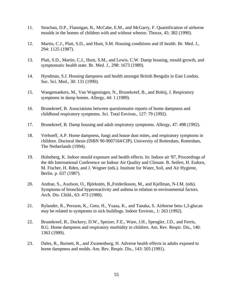- 11. Strachan, D.P., Flannigan, B., McCabe, E.M., and McGarry, F. Quantification of airborne moulds in the homes of children with and without wheeze. Thorax, 45: 382 (1990).
- 12. Martin, C.J., Platt, S.D., and Hunt, S.M. Housing conditions and ill health. Br. Med. J., 294: 1125 (1987).
- 13. Platt, S.D., Martin, C.J., Hunt, S.M., and Lewis, C.W. Damp housing, mould growth, and symptomatic health state. Br. Med. J., 298: 1673 (1989).
- 14. Hyndman, S.J. Housing dampness and health amongst British Bengalis in East London. Soc. Sci. Med., 30: 131 (1990).
- 15. Waegemaekers, M., Van Wageningen, N., Brunekreef, B., and Boleij, J. Respiratory symptoms in damp homes. Allergy, 44: 1 (1989).
- 16. Brunekreef, B. Associations between questionnaire reports of home dampness and childhood respiratory symptoms. Sci. Total Environ., 127: 79 (1992).
- 17. Brunekreef, B. Damp housing and adult respiratory symptoms. Allergy, 47: 498 (1992).
- 18. Verhoeff, A.P. Home dampness, fungi and house dust mites, and respiratory symptoms in children. Doctoral thesis (ISBN 90-9007164/CIP), University of Rotterdam, Rotterdam, The Netherlands (1994).
- 19. Holmberg, K. Indoor mould exposure and health effects. In: Indoor air '87, Proceedings of the 4th International Conference on Indoor Air Quality and Climate. B. Seifert, H. Esdorn, M. Fischer, H. Rden, and J. Wegner (eds.). Institute for Water, Soil, and Air Hygiene, Berlin. p. 637 (1987).
- 20. Andrae, S., Axelson, O., Björkstén, B., Frèderiksson, M., and Kjellman, N-I.M. (eds). Symptoms of bronchial hyperreactivity and asthma in relation to environmental factors. Arch. Dis. Child., 63: 473 (1988).
- 21. Rylander, R., Persson, K., Goto, H., Yuasa, K., and Tanaka, S. Airborne beta-1,3-glucan may be related to symptoms in sick buildings. Indoor Environ., 1: 263 (1992).
- 22. Brunekreef, B., Dockery, D.W., Speizer, F.E., Ware, J.H., Spengler, J.D., and Ferris, B.G. Home dampness and respiratory morbidity in children. Am. Rev. Respir. Dis., 140: 1363 (1989).
- 23. Dales, R., Burnett, R., and Zwanenburg, H. Adverse health effects in adults exposed to home dampness and molds. Am. Rev. Respir. Dis., 143: 505 (1991).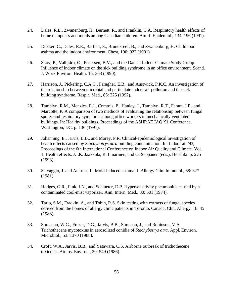- 24. Dales, R.E., Zwanenburg, H., Burnett, R., and Franklin, C.A. Respiratory health effects of home dampness and molds among Canadian children. Am. J. Epidemiol., 134: 196 (1991).
- 25. Dekker, C., Dales, R.E., Bartlett, S., Brunekreef, B., and Zwanenburg, H. Childhood asthma and the indoor environment. Chest, 100: 922 (1991).
- 26. Skov, P., Valbjørn, O., Pedersen, B.V., and the Danish Indoor Climate Study Group. Influence of indoor climate on the sick building syndrome in an office environment. Scand. J. Work Environ. Health, 16: 363 (1990).
- 27. Harrison, J., Pickering, C.A.C., Faragher, E.B., and Austwick, P.K.C. An investigation of the relationship between microbial and particulate indoor air pollution and the sick building syndrome. Respir. Med., 86: 225 (1992).
- 28. Tamblyn, R.M., Menzies, R.I., Comtois, P., Hanley, J., Tamblyn, R.T., Farant, J.P., and Marcotte, P. A comparison of two methods of evaluating the relationship between fungal spores and respiratory symptoms among office workers in mechanically ventilated buildings. In: Healthy buildings, Proceedings of the ASHRAE IAQ '91 Conference, Washington, DC. p. 136 (1991).
- 29. Johanning, E., Jarvis, B.B., and Morey, P.R. Clinical-epidemiological investigation of health effects caused by *Stachybotrys atra* building contamination. In: Indoor air '93, Proceedings of the 6th International Conference on Indoor Air Quality and Climate. Vol. 1. Health effects. J.J.K. Jaakkola, R. Ilmarinen, and O. Seppänen (eds.). Helsinki. p. 225 (1993).
- 30. Salvaggio, J. and Aukrust, L. Mold-induced asthma. J. Allergy Clin. Immunol., 68: 327 (1981).
- 31. Hodges, G.R., Fink, J.N., and Schlueter, D.P. Hypersensitivity pneumonitis caused by a contaminated cool-mist vaporizer. Ann. Intern. Med., 80: 501 (1974).
- 32. Tarlo, S.M., Fradkin, A., and Tobin, R.S. Skin testing with extracts of fungal species derived from the homes of allergy clinic patients in Toronto, Canada. Clin. Allergy, 18: 45 (1988).
- 33. Sorenson, W.G., Frazer, D.G., Jarvis, B.B., Simpson, J., and Robinson, V.A. Trichothecene mycotoxins in aerosolized conidia of *Stachybotrys atra*. Appl. Environ. Microbiol., 53: 1370 (1988).
- 34. Croft, W.A., Jarvis, B.B., and Yatawara, C.S. Airborne outbreak of trichothecene toxicosis. Atmos. Environ., 20: 549 (1986).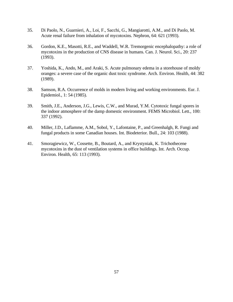- 35. Di Paolo, N., Guarnieri, A., Loi, F., Sacchi, G., Mangiarotti, A.M., and Di Paolo, M. Acute renal failure from inhalation of mycotoxins. Nephron, 64: 621 (1993).
- 36. Gordon, K.E., Masotti, R.E., and Waddell, W.R. Tremorgenic encephalopathy: a role of mycotoxins in the production of CNS disease in humans. Can. J. Neurol. Sci., 20: 237 (1993).
- 37. Yoshida, K., Ando, M., and Araki, S. Acute pulmonary edema in a storehouse of moldy oranges: a severe case of the organic dust toxic syndrome. Arch. Environ. Health, 44: 382 (1989).
- 38. Samson, R.A. Occurrence of molds in modern living and working environments. Eur. J. Epidemiol., 1: 54 (1985).
- 39. Smith, J.E., Anderson, J.G., Lewis, C.W., and Murad, Y.M. Cytotoxic fungal spores in the indoor atmosphere of the damp domestic environment. FEMS Microbiol. Lett., 100: 337 (1992).
- 40. Miller, J.D., Laflamme, A.M., Sobol, Y., Lafontaine, P., and Greenhalgh, R. Fungi and fungal products in some Canadian houses. Int. Biodeterior. Bull., 24: 103 (1988).
- 41. Smoragiewicz, W., Cossette, B., Boutard, A., and Krystyniak, K. Trichothecene mycotoxins in the dust of ventilation systems in office buildings. Int. Arch. Occup. Environ. Health, 65: 113 (1993).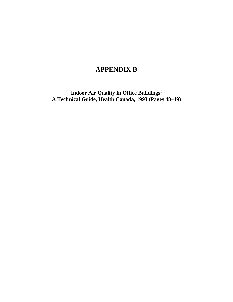# **APPENDIX B**

**Indoor Air Quality in Office Buildings: A Technical Guide, Health Canada, 1993 (Pages 48–49)**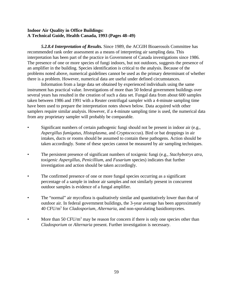### **Indoor Air Quality in Office Buildings: A Technical Guide, Health Canada, 1993 (Pages 48–49)**

*5.2.8.4 Interpretation of Results.* Since 1989, the ACGIH Bioaerosols Committee has recommended rank order assessment as a means of interpreting air sampling data. This interpretation has been part of the practice in Government of Canada investigations since 1986. The presence of one or more species of fungi indoors, but not outdoors, suggests the presence of an amplifier in the building. Species identification is critical to the analysis. Because of the problems noted above, numerical guidelines cannot be used as the primary determinant of whether there is a problem. However, numerical data are useful under defined circumstances.

Information from a large data set obtained by experienced individuals using the same instrument has practical value. Investigations of more than 50 federal government buildings over several years has resulted in the creation of such a data set. Fungal data from about 600 samples taken between 1986 and 1991 with a Reuter centrifugal sampler with a 4-minute sampling time have been used to prepare the interpretation notes shown below. Data acquired with other samplers require similar analysis. However, if a 4-minute sampling time is used, the numerical data from any proprietary sampler will probably be comparable.

- Significant numbers of certain pathogenic fungi should not be present in indoor air (e.g., *Aspergillus fumigatus*, *Histoplasma*, and *Cryptococcus*). Bird or bat droppings in air intakes, ducts or rooms should be assumed to contain these pathogens. Action should be taken accordingly. Some of these species cannot be measured by air sampling techniques.
- The persistent presence of significant numbers of toxigenic fungi (e.g., *Stachybotrys atra*, *toxigenic Aspergillus*, *Penicillium*, and *Fusarium* species) indicates that further investigation and action should be taken accordingly.
- The confirmed presence of one or more fungal species occurring as a significant percentage of a sample in indoor air samples and not similarly present in concurrent outdoor samples is evidence of a fungal amplifier.
- The "normal" air mycoflora is qualitatively similar and quantitatively lower than that of outdoor air. In federal government buildings, the 3-year average has been approximately 40 CFU/m<sup>3</sup> for *Cladosporium*, *Alternaria*, and non-sporulating basidiomycetes.
- More than 50 CFU/ $m<sup>3</sup>$  may be reason for concern if there is only one species other than *Cladosporium* or *Alternaria* present. Further investigation is necessary.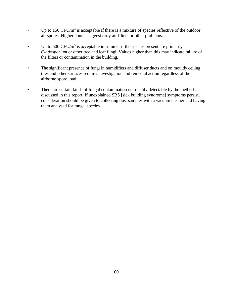- Up to 150 CFU/ $m<sup>3</sup>$  is acceptable if there is a mixture of species reflective of the outdoor air spores. Higher counts suggest dirty air filters or other problems.
- Up to 500 CFU/ $m<sup>3</sup>$  is acceptable in summer if the species present are primarily *Cladosporium* or other tree and leaf fungi. Values higher than this may indicate failure of the filters or contamination in the building.
- The significant presence of fungi in humidifiers and diffuser ducts and on mouldy ceiling tiles and other surfaces requires investigation and remedial action regardless of the airborne spore load.
- There are certain kinds of fungal contamination not readily detectable by the methods discussed in this report. If unexplained SBS [sick building syndrome] symptoms persist, consideration should be given to collecting dust samples with a vacuum cleaner and having them analysed for fungal species.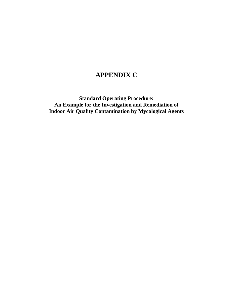# **APPENDIX C**

**Standard Operating Procedure: An Example for the Investigation and Remediation of Indoor Air Quality Contamination by Mycological Agents**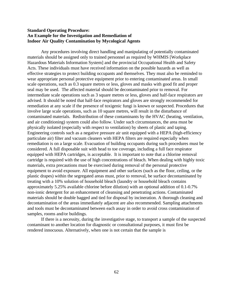## **Standard Operating Procedure: An Example for the Investigation and Remediation of Indoor Air Quality Contamination by Mycological Agents**

Any procedures involving direct handling and manipulating of potentially contaminated materials should be assigned only to trained personnel as required by WHMIS [Workplace Hazardous Materials Information System] and the provincial Occupational Health and Safety Acts. These individuals must have received information on the possible hazards as well as effective strategies to protect building occupants and themselves. They must also be reminded to wear appropriate personal protective equipment prior to entering contaminated areas. In small scale operations, such as 0.3 square metres or less, gloves and masks with good fit and proper seal may be used. The affected material should be decontaminated prior to removal. For intermediate scale operations such as 3 square metres or less, gloves and half-face respirators are advised. It should be noted that half-face respirators and gloves are strongly recommended for remediation at any scale if the presence of toxigenic fungi is known or suspected. Procedures that involve large scale operations, such as 10 square metres, will result in the disturbance of contaminated materials. Redistribution of these contaminants by the HVAC (heating, ventilation, and air conditioning) system could also follow. Under such circumstances, the area must be physically isolated (especially with respect to ventilation) by sheets of plastic and taping. Engineering controls such as a negative pressure air unit equipped with a HEPA (high-efficiency particulate air) filter and vacuum cleaners with HEPA filters are required especially when remediation is on a large scale. Evacuation of building occupants during such procedures must be considered. A full disposable suit with head to toe coverage, including a full face respirator equipped with HEPA cartridges, is acceptable. It is important to note that a chlorine removal cartridge is required with the use of high concentrations of bleach. When dealing with highly toxic materials, extra precautions must be exercised during removal of the personal protective equipment to avoid exposure. All equipment and other surfaces (such as the floor, ceiling, or the plastic drapes) within the segregated areas must, prior to removal, be surface decontaminated by treating with a 10% solution of household bleach (laundry or household bleach contains approximately 5.25% available chlorine before dilution) with an optional addition of 0.1-0.7% non-ionic detergent for an enhancement of cleansing and penetrating actions. Contaminated materials should be double bagged and tied for disposal by incineration. A thorough cleaning and decontamination of the areas immediately adjacent are also recommended. Sampling attachments and tools must be decontaminated between each assay in order to avoid cross contamination of samples, rooms and/or buildings.

If there is a necessity, during the investigative stage, to transport a sample of the suspected contaminant to another location for diagnostic or consultational purposes, it must first be rendered innocuous. Alternatively, when one is not certain that the sample is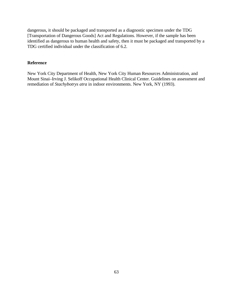dangerous, it should be packaged and transported as a diagnostic specimen under the TDG [Transportation of Dangerous Goods] Act and Regulations. However, if the sample has been identified as dangerous to human health and safety, then it must be packaged and transported by a TDG certified individual under the classification of 6.2.

## **Reference**

New York City Department of Health, New York City Human Resources Administration, and Mount Sinai–Irving J. Selikoff Occupational Health Clinical Center. Guidelines on assessment and remediation of *Stachybotrys atra* in indoor environments. New York, NY (1993).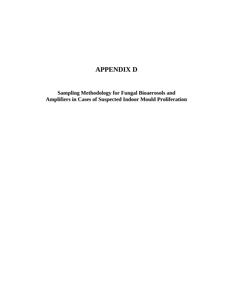# **APPENDIX D**

**Sampling Methodology for Fungal Bioaerosols and Amplifiers in Cases of Suspected Indoor Mould Proliferation**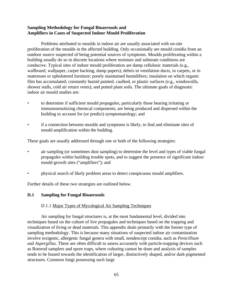## **Sampling Methodology for Fungal Bioaerosols and Amplifiers in Cases of Suspected Indoor Mould Proliferation**

Problems attributed to moulds in indoor air are usually associated with on-site proliferation of the moulds in the affected building. Only occasionally are mould conidia from an outdoor source suspected of being potential sources of symptoms. Moulds proliferating within a building usually do so in discrete locations where moisture and substrate conditions are conducive. Typical sites of indoor mould proliferation are damp cellulosic materials (e.g., wallboard, wallpaper, carpet backing, damp papers); debris in ventilation ducts, in carpets, or in mattresses or upholstered furniture; poorly maintained humidifiers; insulation on which organic film has accumulated; constantly humid painted, caulked, or plastic surfaces (e.g., windowsills, shower stalls, cold air return vents); and potted plant soils. The ultimate goals of diagnostic indoor air mould studies are:

- to determine if sufficient mould propagules, particularly those bearing irritating or immunosensitizing chemical components, are being produced and dispersed within the building to account for (or predict) symptomatology; and
- if a connection between moulds and symptoms is likely, to find and eliminate sites of mould amplification within the building.

These goals are usually addressed through one or both of the following strategies:

- air sampling (or sometimes dust sampling) to determine the level and types of viable fungal propagules within building trouble spots, and to suggest the presence of significant indoor mould growth sites ("amplifiers"); and
- physical search of likely problem areas to detect conspicuous mould amplifiers.

Further details of these two strategies are outlined below.

## **D.1 Sampling for Fungal Bioaerosols**

### D.1.1 Major Types of Mycological Air Sampling Techniques

Air sampling for fungal structures is, at the most fundamental level, divided into techniques based on the culture of live propagules and techniques based on the trapping and visualization of living or dead materials. This appendix deals primarily with the former type of sampling methodology. This is because many situations of suspected indoor air contamination involve toxigenic, allergenic fungal genera with small, nondescript conidia, such as *Penicillium* and *Aspergillus*. These are often difficult to assess accurately with particle-trapping devices such as Rotorod samplers and spore traps, where culturing cannot be done and analysis of samples tends to be biased towards the identification of larger, distinctively shaped, and/or dark-pigmented structures. Common fungi possessing such large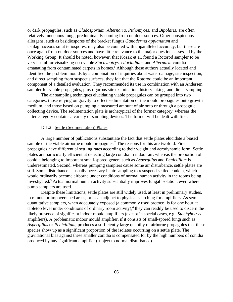or dark propagules, such as *Cladosporium*, *Alternaria*, *Pithomyces*, and *Bipolaris*, are often relatively innocuous fungi, predominantly coming from outdoor sources. Other conspicuous allergens, such as basidiospores of the bracket fungus *Ganoderma applanatum* and ustilaginaceous smut teliospores, may also be counted with unparalleled accuracy, but these are once again from outdoor sources and have little relevance to the major questions assessed by the Working Group. It should be noted, however, that Kozak et al. found a Rotorod sampler to be very useful for visualizing non-viable *Stachybotrys*, *Ulocladium*, and *Alternaria* conidia emanating from contaminated carpets in homes.<sup>1</sup> Although these authors actually located and identified the problem moulds by a combination of inquiries about water damage, site inspection, and direct sampling from suspect surfaces, they felt that the Rotorod could be an important component of a detailed evaluation. They recommended its use in combination with an Andersen sampler for viable propagules, plus rigorous site examination, history taking, and direct sampling.

The air sampling techniques elucidating viable propagules can be grouped into two categories: those relying on gravity to effect sedimentation of the mould propagules onto growth medium, and those based on pumping a measured amount of air onto or through a propagule collecting device. The sedimentation plate is archetypical of the former category, whereas the latter category contains a variety of sampling devices. The former will be dealt with first.

#### D.1.2 Settle (Sedimentation) Plates

A large number of publications substantiate the fact that settle plates elucidate a biased sample of the viable airborne mould propagules.<sup>2</sup> The reasons for this are twofold. First, propagules have differential settling rates according to their weight and aerodynamic form. Settle plates are particularly efficient at detecting large conidia in indoor air, whereas the proportion of conidia belonging to important small-spored genera such as *Aspergillus* and *Penicillium* is underestimated. Second, whereas pumping samplers cause some air disturbance, settle plates are still. Some disturbance is usually necessary in air sampling to resuspend settled conidia, which would ordinarily become airborne under conditions of normal human activity in the rooms being investigated.<sup>3</sup> Actual normal human activity substantially improves fungal isolation, even where pump samplers are used.

Despite these limitations, settle plates are still widely used, at least in preliminary studies, in remote or impoverished areas, or as an adjunct to physical searching for amplifiers. As semiquantitative samplers, when adequately exposed (a commonly used protocol is for one hour at tabletop level under conditions of ordinary room activity), $4$  they can readily be used to discern the likely presence of significant indoor mould amplifiers (except in special cases, e.g., *Stachybotrys* amplifiers). A problematic indoor mould amplifier, if it consists of small-spored fungi such as *Aspergillus* or *Penicillium*, produces a sufficiently large quantity of airborne propagules that these species show up as a significant proportion of the isolates occurring on a settle plate. The gravitational bias against these smaller conidia is compensated for by the high numbers of conidia produced by any significant amplifier (subject to normal disturbance).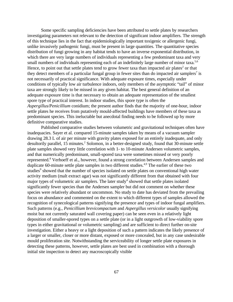Some specific sampling deficiencies have been attributed to settle plates by researchers investigating parameters not relevant to the detection of significant indoor amplifiers. The strength of this technique lies in the fact that epidemiologically important toxigenic or allergenic fungi, unlike invasively pathogenic fungi, must be present in large quantities. The quantitative species distribution of fungi growing in any habitat tends to have an inverse exponential distribution, in which there are very large numbers of individuals representing a few predominant taxa and very small numbers of individuals representing each of an indefinitely large number of minor taxa.<sup>5,6</sup> Hence, to point out that settle plates tend to grow fewer taxa than impacted air plates<sup>2</sup> or that they detect members of a particular fungal group in fewer sites than do impacted air samplers<sup>7</sup> is not necessarily of practical significance. With adequate exposure times, especially under conditions of typically low air turbulence indoors, only members of the asymptotic "tail" of minor taxa are strongly likely to be missed in any given habitat. The best general definition of an adequate exposure time is that necessary to obtain an adequate representation of the smallest spore type of practical interest. In indoor studies, this spore type is often the *Aspergillus/Penicillium* conidium; the present author finds that the majority of one-hour, indoor settle plates he receives from putatively mould-affected buildings have members of these taxa as predominant species. This ineluctable but anecdotal finding needs to be followed up by more definitive comparative studies.

Published comparative studies between volumetric and gravitational techniques often have inadequacies. Sayer et al. compared 15-minute samples taken by means of a vacuum sampler drawing 28.3 L of air per minute with gravity plates exposed for an entirely inadequate, and only desultorily parallel, 15 minutes.<sup>2</sup> Solomon, in a better-designed study, found that 30-minute settle plate samples showed very little correlation with 1- to 10-minute Andersen volumetric samples, and that numerically predominant, small-spored taxa were sometimes missed or very poorly represented.<sup>8</sup> Verhoeff et al., however, found a strong correlation between Andersen samples and duplicate 60-minute settle plate samples in two different studies.<sup> $4,9$ </sup> The earlier of these two studies<sup>9</sup> showed that the number of species isolated on settle plates on conventional high water activity medium (malt extract agar) was not significantly different from that obtained with four major types of volumetric air samplers. The later study<sup>4</sup> showed that settle plates isolated significantly fewer species than the Andersen sampler but did not comment on whether these species were relatively abundant or uncommon. No study to date has deviated from the prevailing focus on abundance and commented on the extent to which different types of samples allowed the recognition of synecological patterns signifying the presence and types of indoor fungal amplifiers. Such patterns (e.g., *Penicillium brevicompactum* and *Aspergillus versicolor* usually signifying moist but not currently saturated wall covering paper) can be seen even in a relatively light deposition of smaller-spored types on a settle plate (or in a light outgrowth of low-viability spore types in either gravitational or volumetric sampling) and are sufficient to direct further on-site investigation. Either a heavy or a light deposition of such a pattern indicates the likely presence of a larger or smaller, closer or more distant, exposed or more concealed, but in any case undesirable mould proliferation site. Notwithstanding the serviceability of longer settle plate exposures in detecting these patterns, however, settle plates are best used in combination with a thorough initial site inspection to detect any macroscopically visible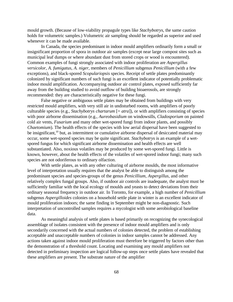mould growth. (Because of low-viability propagule types like *Stachybotrys*, the same caution holds for volumetric samples.) Volumetric air sampling should be regarded as superior and used whenever it can be made available.

In Canada, the species predominant in indoor mould amplifiers ordinarily form a small or insignificant proportion of spora in outdoor air samples (except near large compost sites such as municipal leaf dumps or where abundant dust from stored crops or wood is encountered). Common examples of fungi strongly associated with indoor proliferation are *Aspergillus versicolor*, *A. fumigatus*, *A. niger*, members of *Penicillium* subgenus *Penicillium* (with a few exceptions), and black-spored *Scopulariopsis* species. Receipt of settle plates predominantly colonized by significant numbers of such fungi is an excellent indicator of potentially problematic indoor mould amplification. Accompanying outdoor air control plates, exposed sufficiently far away from the building studied to avoid outflow of building bioaerosols, are strongly recommended: they are characteristically negative for these fungi.

False negative or ambiguous settle plates may be obtained from buildings with very restricted mould amplifiers, with very still air in undisturbed rooms, with amplifiers of poorly culturable species (e.g., *Stachybotrys chartarum* [= *atra*]), or with amplifiers consisting of species with poor airborne dissemination (e.g., *Aureobasidium* on windowsills, *Cladosporium* on painted cold air vents, *Fusarium* and many other wet-spored fungi from indoor plants, and possibly *Chaetomium*). The health effects of the species with low aerial dispersal have been suggested to be insignificant,  $\frac{10}{10}$  but, as intermittent or cumulative airborne dispersal of desiccated material may occur, some wet-spored species may be quite significant. *Stachybotrys* is an example of a wetspored fungus for which significant airborne dissemination and health effects are well substantiated. Also, noxious volatiles may be produced by some wet-spored fungi. Little is known, however, about the health effects of the volatiles of wet-spored indoor fungi; many such species are not odoriferous to ordinary olfaction.

With settle plates, as with any other culturing of airborne moulds, the most informative level of interpretation usually requires that the analyst be able to distinguish among the predominant species and species-groups of the genus *Penicillium*, *Aspergillus*, and other relatively complex fungal groups. Also, if outdoor air controls are inadequate, the analyst must be sufficiently familiar with the local ecology of moulds and yeasts to detect deviations from their ordinary seasonal frequency in outdoor air. In Toronto, for example, a high number of *Penicillium* subgenus *Aspergilloides* colonies on a household settle plate in winter is an excellent indicator of mould proliferation indoors; the same finding in September might be non-diagnostic. Such interpretation of uncontrolled samples requires a mycologist with some aerobiological baseline data.

As meaningful analysis of settle plates is based primarily on recognizing the synecological assemblage of isolates consistent with the presence of indoor mould amplifiers and is only secondarily concerned with the actual numbers of colonies detected, the problem of establishing acceptable and unacceptable numbers of colonies in indoor samples cannot be addressed. Any actions taken against indoor mould proliferation must therefore be triggered by factors other than the demonstration of a threshold count. Locating and examining any mould amplifiers not detected in preliminary inspection are logical follow-up steps once settle plates have revealed that these amplifiers are present. The substrate nature of the amplifier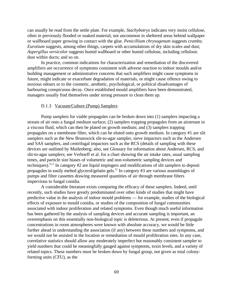can usually be read from the settle plate. For example, *Stachybotrys* indicates very moist cellulose, often in previously flooded or soaked material, not uncommon in sheltered areas behind wallpaper or wallboard paper growing in contact with the glue. *Penicillium chrysogenum* suggests crumbs; *Eurotium* suggests, among other things, carpets with accumulations of dry skin scales and dust; *Aspergillus versicolor* suggests humid wallboard or other humid cellulose, including cellulosic dust within ducts; and so on.

In practice, common indications for characterization and remediation of the discovered amplifiers are occurrence of symptoms consistent with adverse reaction to indoor moulds and/or building management or administrative concerns that such amplifiers might cause symptoms in future, might indicate or exacerbate degradation of materials, or might cause offence owing to noxious odours or to the cosmetic, aesthetic, psychological, or political disadvantages of harbouring conspicuous decay. Once established mould amplifiers have been demonstrated, managers usually find themselves under strong pressure to clean them up.

#### D.1.3 Vacuum/Culture (Pump) Samplers

Pump samplers for viable propagules can be broken down into (1) samplers impacting a stream of air onto a fungal medium surface; (2) samplers trapping propagules from an airstream in a viscous fluid, which can then be plated on growth medium; and (3) samplers trapping propagules on a membrane filter, which can be eluted onto growth medium. In category #1 are slit samplers such as the New Brunswick slit-to-agar sampler, sieve impactors such as the Andersen and SAS samplers, and centrifugal impactors such as the RCS (details of sampling with these devices are outlined by Muilenberg; also, see Glossary for information about Andersen, RCS, and slit-to-agar samplers; see Verhoeff et al. for a chart showing the air intake rates, usual sampling times, and particle size biases of volumetric and non-volumetric sampling devices and techniques). <sup>9,11</sup> In category  $#2$  are liquid impingers and modifications of slit samplers to deposit propagules in easily melted glycerol/gelatin gels.<sup>12</sup> In category #3 are various assemblages of pumps and filter cassettes drawing measured quantities of air through membrane filters impervious to fungal conidia.

A considerable literature exists comparing the efficacy of these samplers. Indeed, until recently, such studies have greatly predominated over other kinds of studies that might have predictive value in the analysis of indoor mould problems — for example, studies of the biological effects of exposure to mould conidia, or studies of the composition of fungal communities associated with indoor proliferation and related symptoms. Even though much useful information has been gathered by the analysis of sampling devices and accurate sampling is important, an overemphasis on this essentially non-biological topic is deleterious. At present, even if propagule concentrations in room atmospheres were known with absolute accuracy, we would be little further ahead in understanding the association (if any) between these numbers and symptoms, and we would not be assisted in the location or remediation of mould proliferation sites. In any case, correlative statistics should allow any moderately imperfect but reasonably consistent sampler to yield numbers that could be meaningfully gauged against symptoms, toxin levels, and a variety of related topics. These numbers must be broken down by fungal group, not given as total colonyforming units (CFU), as the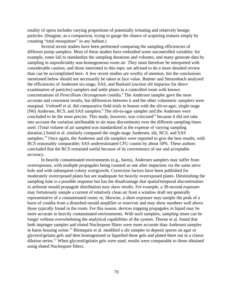totality of spora includes varying proportions of potentially irritating and relatively benign particles. (Imagine, as a comparison, trying to gauge the chance of acquiring malaria simply by counting "total mosquitoes" in any habitat.)

Several recent studies have been performed comparing the sampling efficiencies of different pump samplers. Most of these studies have embodied some uncontrolled variables: for example, some fail to standardize the sampling durations and volumes, and many generate data by sampling in unpredictably non-homogeneous room air. They must therefore be interpreted with considerable caution, and those interested in this topic are advised to do a more detailed review than can be accomplished here. A few recent studies are worthy of mention, but the conclusions mentioned below should not necessarily be taken at face value. Buttner and Stetzenbach analysed the efficiencies of Andersen six-stage, SAS, and Burkard (suction slit impactor for direct examination of particles) samplers and settle plates in a controlled room with known concentrations of *Penicillium chrysogenum* conidia.<sup>3</sup> The Andersen sampler gave the most accurate and consistent results, but differences between it and the other volumetric samplers were marginal. Verhoeff et al. did comparative field trials in houses with the slit-to-agar, single-stage (N6) Andersen, RCS, and SAS samplers.<sup>9</sup> The slit-to-agar sampler and the Andersen were concluded to be the most precise. This study, however, was criticized<sup>13</sup> because it did not take into account the variation attributable to air mass discontinuity over the different sampling times used. (Total volume of air sampled was standardized at the expense of varying sampling duration.) Smid et al. similarly compared the single-stage Andersen, slit, RCS, and SAS samplers.<sup>14</sup> Once again, the Andersen and slit samplers were reported to give the best results, with RCS reasonably comparable; SAS underestimated CFU counts by about 50%. These authors concluded that the RCS remained useful because of its convenience of use and acceptable accuracy.

In heavily contaminated environments (e.g., barns), Andersen samplers may suffer from overexposure, with multiple propagules being counted as one after impaction via the same sieve hole and with subsequent colony overgrowth. Correction factors have been published for moderately overexposed plates but are inadequate for heavily overexposed plates. Diminishing the sampling time is a possible response but has the disadvantage that spatial/temporal discontinuities in airborne mould propagule distribution may skew results. For example, a 30-second exposure may fortuitously sample a current of relatively clean air from a window draft not generally representative of a contaminated room; or, likewise, a short exposure may sample the peak of a burst of conidia from a disturbed mould amplifier or reservoir and may show numbers well above those typically found in the room. For this reason, devices trapping propagules in liquid may be more accurate in heavily contaminated environments. With such samplers, sampling times can be longer without overwhelming the analytical capabilities of the system. Thorne et al. found that both impinger samples and eluted Nucleopore filters were more accurate than Andersen samples in barns housing swine.<sup>15</sup> Blomquist et al. modified a slit sampler to deposit spores on agar or glycerol/gelatin gels and then homogenized or liquefied these gels and plated them out in a classic dilution series.<sup>12</sup> When glycerol/gelatin gels were used, results were comparable to those obtained using eluted Nucleopore filters.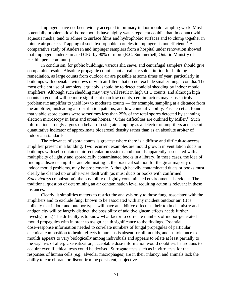Impingers have not been widely accepted in ordinary indoor mould sampling work. Most potentially problematic airborne moulds have highly water-repellent conidia that, in contact with aqueous media, tend to adhere to surface films and hydrophobic surfaces and to clump together in minute air pockets. Trapping of such hydrophobic particles in impingers is not efficient.<sup>11</sup> A comparative study of Andersen and impinger samplers from a hospital under renovation showed that impingers underestimated CFU by 90% or more (R.C. Summerbell, Ontario Ministry of Health, pers. commun.).

In conclusion, for public buildings, various slit, sieve, and centrifugal samplers should give comparable results. Absolute propagule count is not a realistic sole criterion for building remediation, as large counts from outdoor air are possible at some times of year, particularly in buildings with openable windows or with air filters that do not exclude smaller fungal conidia. The most efficient use of samplers, arguably, should be to detect conidial shedding by indoor mould amplifiers. Although such shedding may very well result in high CFU counts, and although high counts in general will be more significant than low counts, certain factors may cause a truly problematic amplifier to yield low to moderate counts — for example, sampling at a distance from the amplifier, misleading air distribution patterns, and low conidial viability. Pasanen et al. found that viable spore counts were sometimes less than 25% of the total spores detected by scanning electron microscopy in farm and urban homes.<sup>16</sup> Other difficulties are outlined by Miller.<sup>17</sup> Such information strongly argues on behalf of using air sampling as a detector of amplifiers and a semiquantitative indicator of approximate bioaerosol density rather than as an absolute arbiter of indoor air standards.

The relevance of spora counts is greatest where there is a diffuse and difficult-to-access amplifier present in a building. Two recurrent examples are mould growth in ventilation ducts in buildings with self-contained air recirculation systems and moulds apparently associated with a multiplicity of lightly and sporadically contaminated books in a library. In these cases, the idea of finding a discrete amplifier and eliminating it, the practical solution for the great majority of indoor mould problems, may be problematic. Although heavily contaminated ducts or books must clearly be cleaned up or otherwise dealt with (as must ducts or books with confirmed *Stachybotrys* colonization), the possibility of lightly contaminated environments is evident. The traditional question of determining an air contamination level requiring action is relevant in these instances.

Clearly, it simplifies matters to restrict the analysis only to those fungi associated with the amplifiers and to exclude fungi known to be associated with any incident outdoor air. (It is unlikely that indoor and outdoor types will have an additive effect, as their toxin chemistry and antigenicity will be largely distinct; the possibility of additive glucan effects needs further investigation.) The difficulty is to know what factor to correlate numbers of indoor-generated mould propagules with in order to assign health significance to the findings. Essential dose–response information needed to correlate numbers of fungal propagules of particular chemical composition to health effects in humans is absent for all moulds, and, as tolerance to moulds appears to vary biologically among individuals and appears to relate at least partially to the vagaries of allergic sensitization, acceptable dose information would doubtless be arduous to acquire even if ethical tests could be devised. Surrogate tests such as in vitro tests for the responses of human cells (e.g., alveolar macrophages) are in their infancy, and animals lack the ability to corroborate or disconfirm the persistent, subjective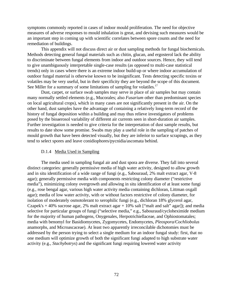symptoms commonly reported in cases of indoor mould proliferation. The need for objective measures of adverse responses to mould inhalation is great, and devising such measures would be an important step in coming up with scientific correlates between spore counts and the need for remediation of buildings.

This appendix will not discuss direct air or dust sampling methods for fungal biochemicals. Methods detecting general fungal materials such as chitin, glucan, and ergosterol lack the ability to discriminate between fungal elements from indoor and outdoor sources. Hence, they will tend to give unambiguously interpretable single-case results (as opposed to multi-case statistical trends) only in cases where there is an extreme indoor build-up or where indoor accumulation of outdoor fungal material is otherwise known to be insignificant. Tests detecting specific toxins or volatiles may be very useful, but in their specificity they are beyond the scope of this document. See Miller for a summary of some limitations of sampling for volatiles.<sup>17</sup>

Dust, carpet, or surface swab samples may serve in place of air samples but may contain many normally settled elements (e.g., Mucorales; also *Fusarium* other than predominant species on local agricultural crops), which in many cases are not significantly present in the air. On the other hand, dust samples have the advantage of containing a relatively long-term record of the history of fungal deposition within a building and may thus relieve investigators of problems posed by the bioaerosol variability of different air currents seen in short-duration air samples. Further investigation is needed to give criteria for the interpretation of dust sample results, but results to date show some promise. Swabs may play a useful role in the sampling of patches of mould growth that have been detected visually, but they are inferior to surface scrapings, as they tend to select spores and leave conidiophores/pycnidia/ascomata behind.

#### D.1.4 Media Used in Sampling

The media used in sampling fungal air and dust spora are diverse. They fall into several distinct categories: generally permissive media of high water activity, designed to allow growth and in situ identification of a wide range of fungi (e.g., Sabouraud, 2% malt extract agar, V-8 agar); generally permissive media with components restricting colony diameter ("restrictive media"), minimizing colony overgrowth and allowing in situ identification of at least some fungi (e.g., rose bengal agar, various high water activity media containing dichloran, Littman oxgall agar); media of low water activity, with or without factors restrictive of colony diameter, for isolation of moderately osmotolerant to xerophilic fungi (e.g., dichloran 18% glycerol agar, Czapek's  $+40\%$  sucrose agar, 2% malt extract agar  $+10\%$  salt ["malt and salt" agar]); and media selective for particular groups of fungi ("selective media," e.g., Sabouraud/cycloheximide medium for the majority of human pathogens, Onygenales, Herpotrichiellaceae, and Ophiostomatales; media with benomyl for Basidiomycetes, Zygomycetes, Endomycetes, *Pleospora/Cochliobolus* anamorphs, and Microascaceae). At least two apparently irreconcilable dichotomies must be addressed by the person trying to select a single medium for an indoor fungal study: first, that no one medium will optimize growth of both the significant fungi adapted to high substrate water activity (e.g., *Stachybotrys*) and the significant fungi requiring lowered water activity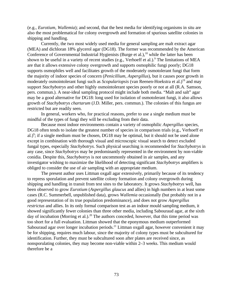(e.g., *Eurotium*, *Wallemia*); and second, that the best media for identifying organisms in situ are also the most problematical for colony overgrowth and formation of spurious satellite colonies in shipping and handling.

Currently, the two most widely used media for general sampling are malt extract agar (MEA) and dichloran 18% glycerol agar (DG18). The former was recommended by the American Conference of Governmental Industrial Hygienists (Burge et al.),<sup>18</sup> while the latter has been shown to be useful in a variety of recent studies (e.g., Verhoeff et al.).<sup>9</sup> The limitations of MEA are that it allows extensive colony overgrowth and supports osmophilic fungi poorly; DG18 supports osmophiles well and facilitates growth of the moderately osmotolerant fungi that form the majority of indoor species of concern (*Penicillium*, *Aspergillus*), but it causes poor growth in moderately osmointolerant fungi such as *Scopulariopsis* (van Reenen-Hoekstra et al.)<sup>19</sup> and may support *Stachybotrys* and other highly osmointolerant species poorly or not at all (R.A. Samson, pers. commun.). A near-ideal sampling protocol might include both media. "Malt and salt" agar may be a good alternative for DG18: long used for isolation of osmotolerant fungi, it also allows growth of *Stachybotrys chartarum* (J.D. Miller, pers. commun.). The colonies of this fungus are restricted but are readily seen.

In general, workers who, for practical reasons, prefer to use a single medium must be mindful of the types of fungi they will be excluding from their data.

Because most indoor environments contain a variety of osmophilic *Aspergillus* species, DG18 often tends to isolate the greatest number of species in comparison trials (e.g., Verhoeff et al.)<sup>9</sup>; if a single medium must be chosen, DG18 may be optimal, but it should not be used alone except in combination with thorough visual and microscopic visual search to detect excluded fungal types, especially *Stachybotrys*. Such physical searching is recommended for *Stachybotrys* in any case, since *Stachybotrys* may be predominantly represented in the environment by non-viable conidia. Despite this, *Stachybotrys* is not uncommonly obtained in air samples, and any investigator wishing to maximize the likelihood of detecting significant *Stachybotrys* amplifiers is obliged to consider the use of air sampling with an appropriate medium.

The present author uses Littman oxgall agar extensively, primarily because of its tendency to repress sporulation and prevent satellite colony formation and colony overgrowth during shipping and handling in transit from test sites to the laboratory. It grows *Stachybotrys* well, has been observed to grow *Eurotium* (*Aspergillus glaucus* and allies) in high numbers in at least some cases (R.C. Summerbell, unpublished data), grows *Wallemia* occasionally (but probably not in a good representation of its true population predominance), and does not grow *Aspergillus restrictus* and allies. In its only formal comparison test as an indoor mould sampling medium, it showed significantly fewer colonies than three other media, including Sabouraud agar, at the sixth day of incubation (Morring et al.).<sup>20</sup> The authors conceded, however, that this time period was too short for a full evaluation. Littman showed that the eponymous medium outperformed Sabouraud agar over longer incubation periods.<sup>21</sup> Littman oxgall agar, however convenient it may be for shipping, requires much labour, since the majority of colony types must be subcultured for identification. Further, they must be subcultured soon after plates are received since, as nonsporulating colonies, they may become non-viable within 2–3 weeks. This medium would therefore be a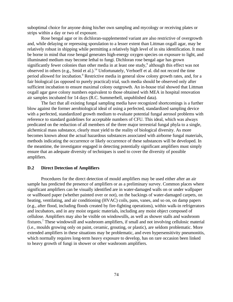suboptimal choice for anyone doing his/her own sampling and mycology or receiving plates or strips within a day or two of exposure.

Rose bengal agar or its dichloran-supplemented variant are also restrictive of overgrowth and, while delaying or repressing sporulation to a lesser extent than Littman oxgall agar, may be relatively robust in shipping while permitting a relatively high level of in situ identification. It must be borne in mind that rose bengal generates high-energy oxygen species on exposure to light, and illuminated medium may become lethal to fungi. Dichloran rose bengal agar has grown significantly fewer colonies than other media in at least one study,<sup>9</sup> although this effect was not observed in others (e.g., Smid et al.).<sup>14</sup> Unfortunately, Verhoeff et al. did not record the time period allowed for incubation.<sup>9</sup> Restrictive media in general slow colony growth rates, and, for a fair biological (as opposed to purely practical) trial, such media should be observed only after sufficient incubation to ensure maximal colony outgrowth. An in-house trial showed that Littman oxgall agar gave colony numbers equivalent to those obtained with MEA in hospital renovation air samples incubated for 14 days (R.C. Summerbell, unpublished data).

The fact that all existing fungal sampling media have recognized shortcomings is a further blow against the former aerobiological ideal of using a perfected, standardized sampling device with a perfected, standardized growth medium to evaluate potential fungal aerosol problems with reference to standard guidelines for acceptable numbers of CFU. This ideal, which was always predicated on the reduction of all members of the three major terrestrial fungal phyla to a single, alchemical mass substance, clearly must yield to the reality of biological diversity. As more becomes known about the actual hazardous substances associated with airborne fungal materials, methods indicating the occurrence or likely occurrence of these substances will be developed. In the meantime, the investigator engaged in detecting potentially significant amplifiers must simply ensure that an adequate diversity of techniques is used to cover the diversity of possible amplifiers.

### **D.2 Direct Detection of Amplifiers**

Procedures for the direct detection of mould amplifiers may be used either after an air sample has predicted the presence of amplifiers or as a preliminary survey. Common places where significant amplifiers can be visually identified are in water-damaged walls on or under wallpaper or wallboard paper (whether painted over or not), on the backings of water-damaged carpets, on heating, ventilating, and air conditioning (HVAC) coils, pans, vanes, and so on, on damp papers (e.g., after flood, including floods created by fire-fighting operations), within walk-in refrigerators and incubators, and in any moist organic materials, including any moist object composed of cellulose. Amplifiers may also be visible on windowsills, as well as shower stalls and washroom fixtures.<sup>7</sup> These windowsill and washroom amplifiers, if small and not involving cellulosic material (i.e., moulds growing only on paint, ceramic, grouting, or plastic), are seldom problematic. More extended amplifiers in these situations may be problematic, and even hypersensitivity pneumonitis, which normally requires long-term heavy exposure to develop, has on rare occasion been linked to heavy growth of fungi in shower or other washroom amplifiers.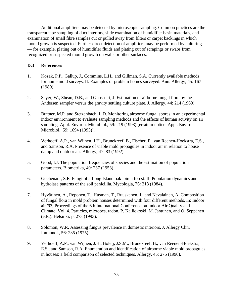Additional amplifiers may be detected by microscopic sampling. Common practices are the transparent tape sampling of duct interiors, slide examination of humidifier basin materials, and examination of small fibre samples cut or pulled away from filters or carpet backings in which mould growth is suspected. Further direct detection of amplifiers may be performed by culturing — for example, plating out of humidifier fluids and plating out of scrapings or swabs from recognized or suspected mould growth on walls or other surfaces.

## **D.3 References**

- 1. Kozak, P.P., Gallup, J., Commins, L.H., and Gillman, S.A. Currently available methods for home mold surveys. II. Examples of problem homes surveyed. Ann. Allergy, 45: 167 (1980).
- 2. Sayer, W., Shean, D.B., and Ghosseiri, J. Estimation of airborne fungal flora by the Andersen sampler versus the gravity settling culture plate. J. Allergy, 44: 214 (1969).
- 3. Buttner, M.P. and Stetzenbach, L.D. Monitoring airborne fungal spores in an experimental indoor environment to evaluate sampling methods and the effects of human activity on air sampling. Appl. Environ. Microbiol., 59: 219 (1993) [erratum notice: Appl. Environ. Microbiol., 59: 1694 (1993)].
- 4. Verhoeff, A.P., van Wijnen, J.H., Brunekreef, B., Fischer, P., van Reenen-Hoekstra, E.S., and Samson, R.A. Presence of viable mold propagules in indoor air in relation to house damp and outdoor air. Allergy, 47: 83 (1992).
- 5. Good, I.J. The population frequencies of species and the estimation of population parameters. Biometrika, 40: 237 (1953).
- 6. Gochenaur, S.E. Fungi of a Long Island oak–birch forest. II. Population dynamics and hydrolase patterns of the soil penicillia. Mycologia, 76: 218 (1984).
- 7. Hyvärinen, A., Reponen, T., Husman, T., Ruuskanen, J., and Nevalainen, A. Composition of fungal flora in mold problem houses determined with four different methods. In: Indoor air '93, Proceedings of the 6th International Conference on Indoor Air Quality and Climate. Vol. 4. Particles, microbes, radon. P. Kalliokoski, M. Jantunen, and O. Seppänen (eds.). Helsinki. p. 273 (1993).
- 8. Solomon, W.R. Assessing fungus prevalence in domestic interiors. J. Allergy Clin. Immunol., 56: 235 (1975).
- 9. Verhoeff, A.P., van Wijnen, J.H., Boleij, J.S.M., Brunekreef, B., van Reenen-Hoekstra, E.S., and Samson, R.A. Enumeration and identification of airborne viable mold propagules in houses: a field comparison of selected techniques. Allergy, 45: 275 (1990).